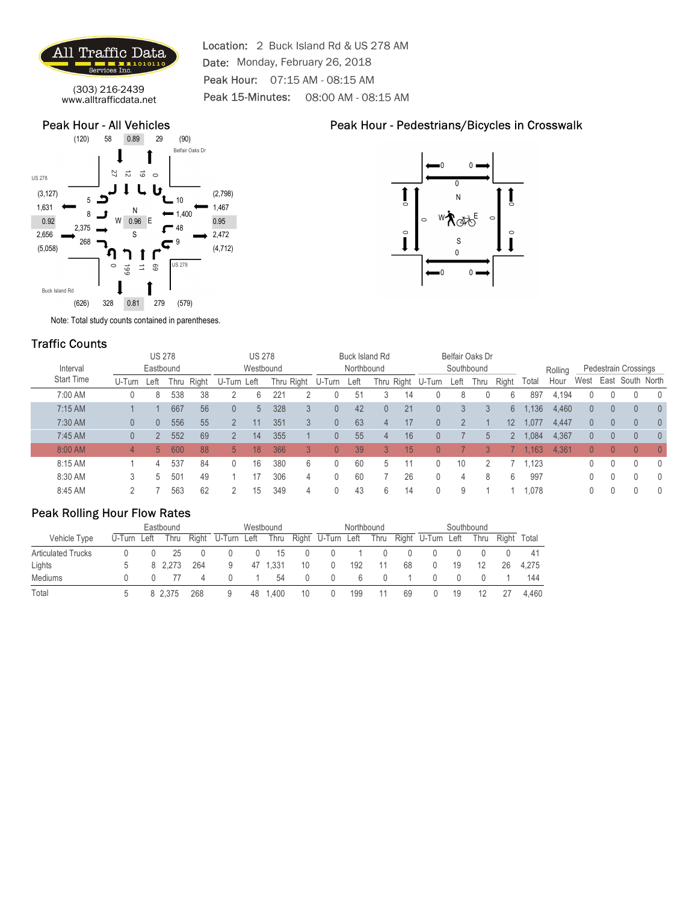

(303) 216-2439<br>rw.alltrafficdata.net **Peak 15-Minutes:** 08:00 AM - 08:15 AM Location: 2 Buck Island Rd & US 278 AM Date: Monday, February 26, 2018 Peak Hour: 07:15 AM - 08:15 AM **ffic Data**<br>
Location: 2 Buck Island Rd & US 278 AM<br>
Date: Monday, February 26, 2018<br>
Peak Hour: 07:15 AM - 08:15 AM<br> **All Vehicles**<br>
Peak 15-Minutes: 08:00 AM - 08:15 AM<br> **All Vehicles**<br>
Peak Hour - Pedestrians/Bicycles

#### Peak Hour - All Vehicles





### Traffic Counts

|                                                                                  |                                                    |                                           | Services Inc.                                                            |               |                        | Date: Monday, February 26, 2018              |    |               |                        |    |                |                     |          |                    |                                                         |                  |                                              |             |           |                                               |              |                      |                                  |                       |  |
|----------------------------------------------------------------------------------|----------------------------------------------------|-------------------------------------------|--------------------------------------------------------------------------|---------------|------------------------|----------------------------------------------|----|---------------|------------------------|----|----------------|---------------------|----------|--------------------|---------------------------------------------------------|------------------|----------------------------------------------|-------------|-----------|-----------------------------------------------|--------------|----------------------|----------------------------------|-----------------------|--|
|                                                                                  |                                                    |                                           |                                                                          |               |                        | Peak Hour: 07:15 AM - 08:15 AM               |    |               |                        |    |                |                     |          |                    |                                                         |                  |                                              |             |           |                                               |              |                      |                                  |                       |  |
|                                                                                  | (303) 216-2439<br>www.alltrafficdata.net           |                                           |                                                                          |               |                        | Peak 15-Minutes:                             |    |               |                        |    |                | 08:00 AM - 08:15 AM |          |                    |                                                         |                  |                                              |             |           |                                               |              |                      |                                  |                       |  |
|                                                                                  | <b>Peak Hour - All Vehicles</b>                    |                                           |                                                                          |               |                        |                                              |    |               |                        |    |                |                     |          |                    |                                                         |                  |                                              |             |           | Peak Hour - Pedestrians/Bicycles in Crosswalk |              |                      |                                  |                       |  |
|                                                                                  | 58<br>(120)                                        | 0.89                                      | 29                                                                       | (90)          |                        |                                              |    |               |                        |    |                |                     |          |                    |                                                         |                  |                                              |             |           |                                               |              |                      |                                  |                       |  |
| <b>US 278</b><br>(3, 127)<br>1,631<br>0.92<br>2,656<br>(5,058)<br>Buck Island Rd | 2,375<br>268                                       | $\sqrt{2}$<br>$\vec{c}$<br>$\circ$<br>661 | $\vec{\circ}$<br>$\circ$<br>u<br>69<br>$\ensuremath{\rightrightarrows}$  | <b>US 278</b> | Belfair Oaks Dr        | (2,798)<br>.467<br>0.95<br>2,472<br>(4, 712) |    |               |                        |    |                |                     |          | $\circ$<br>$\circ$ | $\circ$<br>$\rule{0.2cm}{0.15mm}$                       | <b>™∧</b> ≪<br>S | $0 =$<br>$\circ$<br>$\overline{\phantom{a}}$ |             |           |                                               |              |                      |                                  |                       |  |
|                                                                                  | (626)<br>328                                       | 0.81                                      | 279                                                                      | (579)         |                        |                                              |    |               |                        |    |                |                     |          |                    |                                                         |                  |                                              |             |           |                                               |              |                      |                                  |                       |  |
|                                                                                  | Note: Total study counts contained in parentheses. |                                           |                                                                          |               |                        |                                              |    |               |                        |    |                |                     |          |                    |                                                         |                  |                                              |             |           |                                               |              |                      |                                  |                       |  |
| <b>Traffic Counts</b>                                                            |                                                    |                                           |                                                                          |               |                        |                                              |    |               |                        |    |                |                     |          |                    |                                                         |                  |                                              |             |           |                                               |              |                      |                                  |                       |  |
|                                                                                  |                                                    |                                           | <b>US 278</b>                                                            |               |                        |                                              |    | <b>US 278</b> |                        |    |                | Buck Island Rd      |          |                    |                                                         |                  | Belfair Oaks Dr                              |             |           |                                               |              |                      |                                  |                       |  |
|                                                                                  | Interval<br><b>Start Time</b>                      |                                           | Eastbound                                                                |               |                        |                                              |    | Westbound     |                        |    |                | Northbound          |          |                    |                                                         | Southbound       |                                              |             |           | Rolling                                       |              | Pedestrain Crossings |                                  | West East South North |  |
|                                                                                  | 7:00 AM                                            | 0                                         | U-Turn Left Thru Right U-Turn Left<br>8                                  | 538           | 38                     | 2                                            | 6  | 221           | Thru Right U-Turn Left |    | 0              | 51                  | 3        | 14                 | Thru Right U-Turn Left Thru Right Total<br>$\mathbf{0}$ | 8                |                                              |             | 897       | Hour<br>4,194                                 | 0            | $\mathbf{0}$         |                                  |                       |  |
|                                                                                  | 7:15 AM                                            |                                           |                                                                          | 667           | 56                     | $\overline{0}$                               | 5  | 328           |                        |    | 0              | 42                  | $\theta$ | 21                 | $\left( \right)$                                        |                  |                                              | $6^{\circ}$ | 1,136     | 4,460                                         | $\mathbf{0}$ | $\overline{0}$       | $\theta$                         |                       |  |
|                                                                                  | 7:30 AM                                            | $\Omega$                                  | $\overline{0}$                                                           | 556           | 55                     | $\overline{2}$                               | 11 | 351           |                        |    | 0              | 63                  |          | 17                 | $\Omega$                                                |                  |                                              | 12          | 1,077     | 4,447                                         | $\mathbf{0}$ | $\overline{0}$       | $\theta$                         |                       |  |
|                                                                                  | 7:45 AM                                            | $\overline{0}$                            | $\overline{2}$                                                           | 552           | 69                     | $\overline{2}$                               | 14 | 355           |                        |    | $\overline{0}$ | 55                  |          | 16                 | $\theta$                                                |                  | 5                                            |             | 2 1,084   | 4,367                                         | $\mathbf{0}$ | $\overline{0}$       | $\overline{0}$                   |                       |  |
|                                                                                  | 8:00 AM                                            | $\overline{4}$                            |                                                                          | 5 600         | 88                     |                                              | 18 | 366           |                        |    | $\Omega$       | 39                  |          | 15                 |                                                         |                  |                                              |             |           | 1,163 4,361                                   | $\mathbf{0}$ | $\bigcap$            |                                  |                       |  |
|                                                                                  | 8:15 AM                                            |                                           | $\overline{4}$                                                           | 537           | 84                     | 0                                            | 16 | 380           |                        |    | $\Omega$       | 60                  | 5        | 11                 | $\mathbf{0}$                                            | 10               |                                              |             | 7, 1, 123 |                                               | $\Omega$     | $\Omega$             | $\begin{array}{c} \n\end{array}$ | $\Omega$              |  |
|                                                                                  | 8:30 AM                                            |                                           | 5                                                                        | 501           | 49                     |                                              | 17 | 306           |                        |    |                | 60                  |          | 26                 |                                                         |                  |                                              |             | 997       |                                               |              |                      |                                  |                       |  |
|                                                                                  | 8:45 AM                                            | 2                                         | $\overline{7}$                                                           | 563           | 62                     | 2                                            | 15 | 349           |                        |    | U              | 43                  | 6        | 14                 | $\Omega$                                                | 9                |                                              |             | 1,078     |                                               | 0            |                      | $\Omega$                         | $\mathbf{0}$          |  |
|                                                                                  | <b>Peak Rolling Hour Flow Rates</b>                |                                           |                                                                          |               |                        |                                              |    |               |                        |    |                |                     |          |                    |                                                         |                  |                                              |             |           |                                               |              |                      |                                  |                       |  |
|                                                                                  |                                                    |                                           | Eastbound                                                                |               |                        |                                              |    | Westbound     |                        |    |                | Northbound          |          |                    |                                                         | Southbound       |                                              |             |           |                                               |              |                      |                                  |                       |  |
|                                                                                  | Vehicle Type                                       | U-Turn Left                               |                                                                          |               | Thru Right U-Turn Left |                                              |    |               |                        |    |                |                     |          |                    | Thru Right U-Turn Left Thru Right U-Turn Left           |                  | Thru Right Total                             |             |           |                                               |              |                      |                                  |                       |  |
| Articulated Trucks                                                               |                                                    | 0                                         | 0                                                                        | 25            | 0                      | 0                                            | 0  | 15            |                        | 0  | 0              |                     |          |                    | $\mathbf 0$                                             | $\mathbf 0$      | $\mathbf 0$                                  | 0           | 41        |                                               |              |                      |                                  |                       |  |
| Lights                                                                           |                                                    | 5                                         | 8 2,273 264                                                              |               |                        | 9                                            |    | 47 1,331      |                        | 10 | $\overline{0}$ | 192                 | 11       | 68                 | $\mathbf 0$                                             | 19               | 12                                           |             | 26 4,275  |                                               |              |                      |                                  |                       |  |
| Mediums                                                                          |                                                    |                                           | 0 0 77 4 0 1 54 0 0 6 0 1 0 0 0 1 144                                    |               |                        |                                              |    |               |                        |    |                |                     |          |                    |                                                         |                  |                                              |             |           |                                               |              |                      |                                  |                       |  |
| Total                                                                            |                                                    |                                           | 5  8  2,375  268  9  48  1,400  10  0  199  11  69  0  19  12  27  4,460 |               |                        |                                              |    |               |                        |    |                |                     |          |                    |                                                         |                  |                                              |             |           |                                               |              |                      |                                  |                       |  |
|                                                                                  |                                                    |                                           |                                                                          |               |                        |                                              |    |               |                        |    |                |                     |          |                    |                                                         |                  |                                              |             |           |                                               |              |                      |                                  |                       |  |
|                                                                                  |                                                    |                                           |                                                                          |               |                        |                                              |    |               |                        |    |                |                     |          |                    |                                                         |                  |                                              |             |           |                                               |              |                      |                                  |                       |  |

|                           |             | Eastbound |     |                   |    | Westbound |    |                   | Northbound |      |    |                   |    | Southbound |             |       |
|---------------------------|-------------|-----------|-----|-------------------|----|-----------|----|-------------------|------------|------|----|-------------------|----|------------|-------------|-------|
| Vehicle Type              | U-Turn Left | Thru      |     | Right U-Turn Left |    | Thru      |    | Right U-Turn Left |            | Thru |    | Right U-Turn Left |    | Thru       | Right Total |       |
| <b>Articulated Trucks</b> |             |           |     |                   |    | 15        |    |                   |            |      |    |                   |    |            |             | -41   |
| Lights                    |             | 8 2.273   | 264 | 9                 | 47 | 1.331     | 10 | 0                 | 192        |      | 68 | $\theta$          | 19 |            | 26          | 4.275 |
| Mediums                   |             |           |     |                   |    | 54        |    | $\left( \right)$  |            |      |    |                   |    |            |             | 144   |
| Total                     |             | 8 2.375   | 268 | 9                 | 48 | ,400      | 10 | $\cup$            | 199        |      | 69 |                   | 19 |            |             | 4.460 |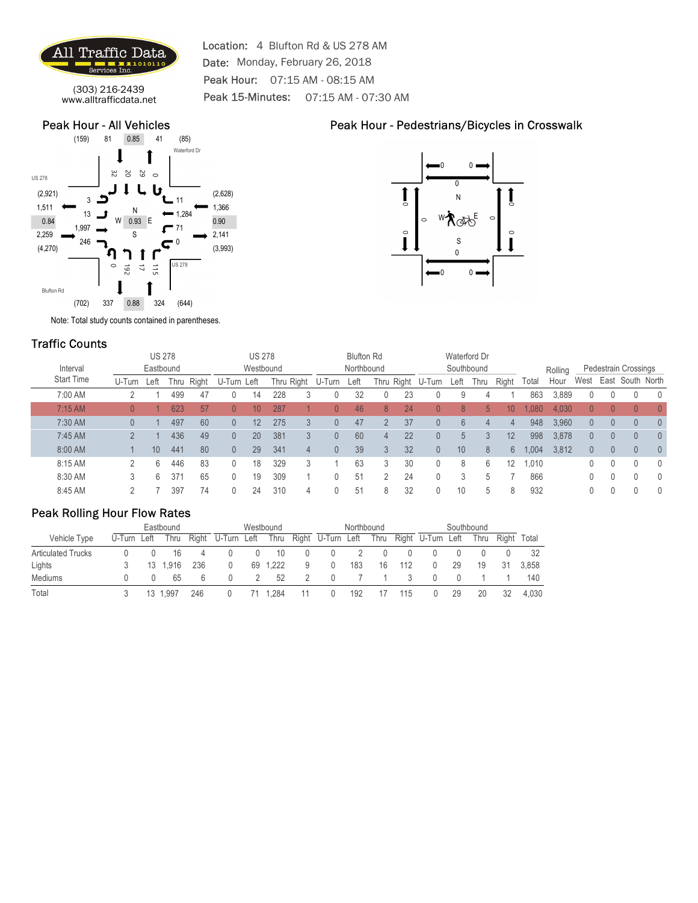

(303) 216-2439<br>rw.alltrafficdata.net **Peak 15-Minutes:** 07:15 AM - 07:30 AM Location: 4 Blufton Rd & US 278 AM Date: Monday, February 26, 2018 Peak Hour: 07:15 AM - 08:15 AM **ffic Data**<br>
Location: 4 Blufton Rd & US 278 AM<br>
Date: Monday, February 26, 2018<br>
Peak Hour: 07:15 AM - 08:15 AM<br> **All Vehicles**<br>
Peak 15-Minutes: 07:15 AM - 07:30 AM<br> **All Vehicles**<br>
Peak Hour - Pedestrians/Bicycles in (

#### Peak Hour - All Vehicles



### Peak Hour - Pedestrians/Bicycles in Crosswalk



### Traffic Counts

|                                                    | Services Inc.  |                                                                            |               |    | Date: Monday, February 26, 2018 |               |          |   |                     |                   |   |         |                                               |              |                          |                 |          |                                               |              |                       |                                  |                |
|----------------------------------------------------|----------------|----------------------------------------------------------------------------|---------------|----|---------------------------------|---------------|----------|---|---------------------|-------------------|---|---------|-----------------------------------------------|--------------|--------------------------|-----------------|----------|-----------------------------------------------|--------------|-----------------------|----------------------------------|----------------|
|                                                    |                |                                                                            |               |    | Peak Hour: 07:15 AM - 08:15 AM  |               |          |   |                     |                   |   |         |                                               |              |                          |                 |          |                                               |              |                       |                                  |                |
| www.alltrafficdata.net                             | (303) 216-2439 |                                                                            |               |    | Peak 15-Minutes:                |               |          |   | 07:15 AM - 07:30 AM |                   |   |         |                                               |              |                          |                 |          |                                               |              |                       |                                  |                |
| <b>Peak Hour - All Vehicles</b>                    |                |                                                                            |               |    |                                 |               |          |   |                     |                   |   |         |                                               |              |                          |                 |          | Peak Hour - Pedestrians/Bicycles in Crosswalk |              |                       |                                  |                |
| (159)                                              | 0.85<br>81     | 41                                                                         | (85)          |    |                                 |               |          |   |                     |                   |   |         |                                               |              |                          |                 |          |                                               |              |                       |                                  |                |
| <b>US 278</b><br>(2,921)                           | 32<br>$\infty$ | 29<br>$\circ$<br>u                                                         | Waterford Dr  |    | (2,628)                         |               |          |   |                     |                   |   | $\circ$ |                                               |              | $0 =$                    |                 |          |                                               |              |                       |                                  |                |
| 1,511<br>0.84<br>1.99<br>2,259                     | 0.93           |                                                                            |               |    | 1,366<br>0.90<br>2,141          |               |          |   |                     |                   |   | $\circ$ | $\circ$                                       | <b>™∧</b> ⊛⊁ | $\circ$                  |                 |          |                                               |              |                       |                                  |                |
| 246<br>(4,270)                                     | $\circ$        | $\overrightarrow{L}$                                                       | <b>US 278</b> |    | (3,993)                         |               |          |   |                     |                   |   |         |                                               | S            |                          |                 |          |                                               |              |                       |                                  |                |
| <b>Blufton Rd</b>                                  | $761$          | $115$                                                                      |               |    |                                 |               |          |   |                     |                   |   |         | $\rule{0.2cm}{0.15mm}$                        |              | $\overline{\phantom{a}}$ |                 |          |                                               |              |                       |                                  |                |
| (702)                                              | 337<br>0.88    | 324                                                                        | (644)         |    |                                 |               |          |   |                     |                   |   |         |                                               |              |                          |                 |          |                                               |              |                       |                                  |                |
| Note: Total study counts contained in parentheses. |                |                                                                            |               |    |                                 |               |          |   |                     |                   |   |         |                                               |              |                          |                 |          |                                               |              |                       |                                  |                |
| <b>Traffic Counts</b>                              |                |                                                                            |               |    |                                 |               |          |   |                     |                   |   |         |                                               |              |                          |                 |          |                                               |              |                       |                                  |                |
|                                                    |                | <b>US 278</b>                                                              |               |    |                                 | <b>US 278</b> |          |   |                     | <b>Blufton Rd</b> |   |         |                                               | Waterford Dr |                          |                 |          |                                               |              |                       |                                  |                |
| Interval                                           |                | Eastbound                                                                  |               |    |                                 | Westbound     |          |   |                     | Northbound        |   |         |                                               | Southbound   |                          |                 |          | Rolling                                       |              | Pedestrain Crossings  |                                  |                |
| <b>Start Time</b>                                  |                | U-Turn Left Thru Right                                                     |               |    | U-Turn Left                     |               |          |   | Thru Right U-Turn   | Left              |   |         | Thru Right U-Turn Left Thru Right Total       |              |                          |                 |          | Hour                                          |              | West East South North |                                  |                |
| 7:00 AM                                            | 2              | 1                                                                          | 499           | 47 | $\mathbf 0$                     | 14            | 228      |   | 0                   | 32                | 0 | 23      | $\mathbf{0}$                                  | 9            |                          |                 | 863      | 3,889                                         | 0            | 0                     | $\begin{array}{c} \n\end{array}$ |                |
| 7:15 AM                                            | $\overline{0}$ |                                                                            | 623           | 57 | $\overline{0}$                  | 10            | 287      |   | $\Omega$            | 46                |   | 24      |                                               |              |                          | 10 <sup>°</sup> | 1,080    | 4,030                                         | $\mathbf{0}$ | $\overline{0}$        |                                  |                |
| 7:30 AM                                            | $\overline{0}$ |                                                                            | 497           | 60 | $\mathbf{0}$                    | 12            | 275      |   | $\overline{0}$      | 47                |   | 37      | $\Omega$                                      |              |                          |                 | 948      | 3,960                                         | $\mathbf{0}$ | $\overline{0}$        | $\mathbf{0}$                     |                |
| 7:45 AM                                            |                |                                                                            | 436           | 49 | $\theta$                        | 20            | 381      |   | 0                   | 60                |   | 22      |                                               |              |                          | 12 <sup>°</sup> | 998      | 3,878                                         | $\mathbf{0}$ | $\theta$              | $\theta$                         |                |
| 8:00 AM                                            |                | 10 <sup>°</sup>                                                            | 441           | 80 | $\theta$                        | 29            | 341      |   | 0                   | 39                | 3 | 32      | $\theta$                                      |              |                          | $6\overline{6}$ | 1,004    | 3,812                                         | $\mathbf{0}$ | $\overline{0}$        |                                  | $\overline{0}$ |
| 8:15 AM                                            | -2             | 6                                                                          | 446           | 83 | $\mathbf{0}$                    | 18            | 329      |   |                     | 63                | 3 | 30      |                                               |              |                          | 12              | 1,010    |                                               | 0            |                       |                                  |                |
| 8:30 AM                                            |                | 6                                                                          | 371           | 65 | $\Omega$                        | 19            | 309      |   |                     | 51                | 2 | 24      |                                               |              |                          |                 | 866      |                                               |              |                       |                                  |                |
| 8:45 AM                                            | 2              | $\overline{7}$                                                             | 397           | 74 | $\mathbf 0$                     | 24            | 310      |   | $\Omega$            | 51                | 8 | 32      | $\mathbf{0}$                                  | 10           |                          | 8               | 932      |                                               | 0            |                       |                                  | $\Omega$       |
| <b>Peak Rolling Hour Flow Rates</b>                |                |                                                                            |               |    |                                 |               |          |   |                     |                   |   |         |                                               |              |                          |                 |          |                                               |              |                       |                                  |                |
|                                                    |                | Eastbound                                                                  |               |    |                                 | Westbound     |          |   |                     | Northbound        |   |         |                                               | Southbound   |                          |                 |          |                                               |              |                       |                                  |                |
| Vehicle Type                                       | U-Turn Left    |                                                                            |               |    | Thru Right U-Turn Left          |               |          |   |                     |                   |   |         | Thru Right U-Turn Left Thru Right U-Turn Left |              | Thru Right Total         |                 |          |                                               |              |                       |                                  |                |
| <b>Articulated Trucks</b>                          | $\mathbf 0$    | 0                                                                          | 16            | -4 | 0                               | 0             | 10       | 0 | $\mathbf{0}$        | $\overline{2}$    |   | 0       | 0                                             | $\mathbf 0$  | $\mathbf 0$              | 0               | 32       |                                               |              |                       |                                  |                |
| Lights                                             | 3              | 13 1,916 236                                                               |               |    | 0                               |               | 69 1,222 | 9 | $\overline{0}$      | 183               |   | 16 112  | $\overline{0}$                                | 29           | 19                       |                 | 31 3,858 |                                               |              |                       |                                  |                |
| Mediums                                            |                | 0 0 65 6 0 2 52 2 0 7 1 3 0 0 1 1 140                                      |               |    |                                 |               |          |   |                     |                   |   |         |                                               |              |                          |                 |          |                                               |              |                       |                                  |                |
| Total                                              |                | 3  13  1,997  246  0  71  1,284  11  0  192  17  115  0  29  20  32  4,030 |               |    |                                 |               |          |   |                     |                   |   |         |                                               |              |                          |                 |          |                                               |              |                       |                                  |                |
|                                                    |                |                                                                            |               |    |                                 |               |          |   |                     |                   |   |         |                                               |              |                          |                 |          |                                               |              |                       |                                  |                |
|                                                    |                |                                                                            |               |    |                                 |               |          |   |                     |                   |   |         |                                               |              |                          |                 |          |                                               |              |                       |                                  |                |
|                                                    |                |                                                                            |               |    |                                 |               |          |   |                     |                   |   |         |                                               |              |                          |                 |          |                                               |              |                       |                                  |                |
|                                                    |                |                                                                            |               |    |                                 |               |          |   |                     |                   |   |         |                                               |              |                          |                 |          |                                               |              |                       |                                  |                |
|                                                    |                |                                                                            |               |    |                                 |               |          |   |                     |                   |   |         |                                               |              |                          |                 |          |                                               |              |                       |                                  |                |

|                           |             |    | Eastbound |     |                   |    | Westbound |   |                   | Northbound |      |     |                   |    | Southbound |             |       |
|---------------------------|-------------|----|-----------|-----|-------------------|----|-----------|---|-------------------|------------|------|-----|-------------------|----|------------|-------------|-------|
| Vehicle Type              | U-Turn Left |    | Thru      |     | Right U-Turn Left |    | Thru      |   | Right U-Turn Left |            | Thru |     | Right U-Turn Left |    | Thru       | Right Total |       |
| <b>Articulated Trucks</b> |             |    | 16        |     |                   |    | 10        |   |                   |            |      |     |                   |    |            |             |       |
| Lights                    |             | 13 | 1.916     | 236 |                   | 69 | 1.222     | 9 | $\Omega$          | 183        | 16   | 112 |                   | 29 | 19         | 31          | 3.858 |
| Mediums                   |             |    | 65        |     |                   |    | 52        |   |                   |            |      |     |                   |    |            |             | 140   |
| Total                     |             |    | 997.،     | 246 |                   |    | .284      |   |                   | 192        |      |     |                   | 29 | 20         | 32          | 4.030 |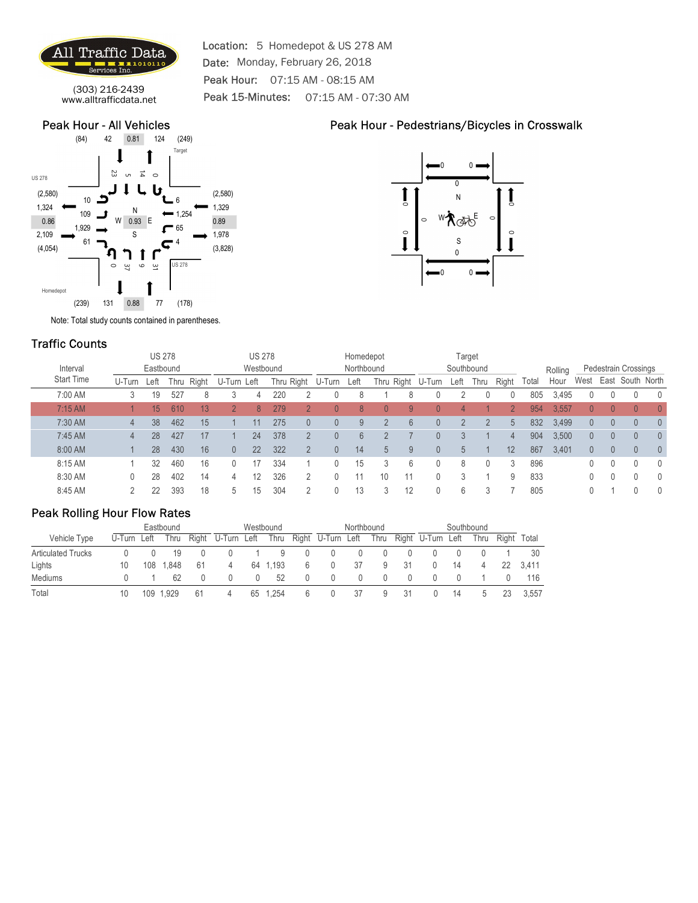

Location: 5 Homedepot & US 278 AM Date: Monday, February 26, 2018 Peak Hour: 07:15 AM - 08:15 AM Peak 15-Minutes: 07:15 AM - 07:30 AM **ffic Data**<br>
Location: 5 Homedepot & US 278 AM<br>
Date: Monday, February 26, 2018<br>
Peak Hour: 07:15 AM - 08:15 AM<br> **All Vehicles**<br>
Peak 15-Minutes: 07:15 AM - 07:30 AM<br> **All Vehicles**<br>
Peak Hour - Pedestrians/Bicycles in<br>
P

#### Peak Hour - All Vehicles



### Peak Hour - Pedestrians/Bicycles in Crosswalk



### Traffic Counts

|                                                                                                                                                   | Services Inc.                                                 |                                                                                |                                           |    |                                              |                |                                |   | Date: Monday, February 26, 2018 |            |    |                    |                                                                                                   |                           |                                     |                |          |                                               |              |                       |                |                |
|---------------------------------------------------------------------------------------------------------------------------------------------------|---------------------------------------------------------------|--------------------------------------------------------------------------------|-------------------------------------------|----|----------------------------------------------|----------------|--------------------------------|---|---------------------------------|------------|----|--------------------|---------------------------------------------------------------------------------------------------|---------------------------|-------------------------------------|----------------|----------|-----------------------------------------------|--------------|-----------------------|----------------|----------------|
|                                                                                                                                                   |                                                               |                                                                                |                                           |    |                                              |                | Peak Hour: 07:15 AM - 08:15 AM |   |                                 |            |    |                    |                                                                                                   |                           |                                     |                |          |                                               |              |                       |                |                |
| www.alltrafficdata.net                                                                                                                            | (303) 216-2439                                                |                                                                                |                                           |    |                                              |                | Peak 15-Minutes:               |   | 07:15 AM - 07:30 AM             |            |    |                    |                                                                                                   |                           |                                     |                |          |                                               |              |                       |                |                |
| <b>Peak Hour - All Vehicles</b>                                                                                                                   |                                                               |                                                                                |                                           |    |                                              |                |                                |   |                                 |            |    |                    |                                                                                                   |                           |                                     |                |          | Peak Hour - Pedestrians/Bicycles in Crosswalk |              |                       |                |                |
| (84)<br><b>US 278</b><br>(2,580)<br>1,324<br>0.86<br>2,109<br>(4,054)<br>Homedepot<br>(239)<br>Note: Total study counts contained in parentheses. | 42<br>0.81<br>23<br>S<br>0.93<br>$\circ$<br>27<br>131<br>0.88 | 124<br>$\overrightarrow{4}$<br>$\circ$<br>u<br>$\circ$<br>$\overline{3}$<br>77 | (249)<br>Target<br><b>US 278</b><br>(178) |    | (2,580)<br>1,329<br>0.89<br>1,978<br>(3,828) |                |                                |   |                                 |            |    | $\circ$<br>$\circ$ | $\circ$<br>$\rule{0.2cm}{0.15mm}$                                                                 | $0 -$<br><b>™∧</b> ≪<br>S | $\circ$<br>$\overline{\phantom{a}}$ |                |          |                                               |              |                       |                |                |
|                                                                                                                                                   |                                                               |                                                                                |                                           |    |                                              |                |                                |   |                                 |            |    |                    |                                                                                                   |                           |                                     |                |          |                                               |              |                       |                |                |
| <b>Traffic Counts</b>                                                                                                                             |                                                               | <b>US 278</b>                                                                  |                                           |    |                                              | <b>US 278</b>  |                                |   |                                 | Homedepot  |    |                    |                                                                                                   | Target                    |                                     |                |          |                                               |              |                       |                |                |
| Interval                                                                                                                                          |                                                               | Eastbound                                                                      |                                           |    |                                              | Westbound      |                                |   |                                 | Northbound |    |                    |                                                                                                   | Southbound                |                                     |                |          | Rolling                                       |              | Pedestrain Crossings  |                |                |
| <b>Start Time</b>                                                                                                                                 |                                                               |                                                                                | U-Turn Left Thru Right U-Turn Left        |    |                                              |                |                                |   | Thru Right U-Turn               | Left       |    |                    | Thru Right U-Turn Left Thru Right Total                                                           |                           |                                     |                |          | Hour                                          |              | West East South North |                |                |
| 7:00 AM                                                                                                                                           | 3                                                             |                                                                                | 19 527                                    | 8  | 3                                            | 4              | 220                            |   | 0                               |            |    | 8                  | $\mathbf{0}$                                                                                      |                           |                                     | $\Omega$       | 805      | 3,495                                         | 0            | 0                     |                |                |
| 7:15 AM                                                                                                                                           |                                                               |                                                                                | 15 610                                    | 13 |                                              | 8 <sup>8</sup> | 279                            |   |                                 |            |    |                    |                                                                                                   |                           |                                     |                | 954      | 3,557                                         | $\mathbf{0}$ | $\overline{0}$        |                |                |
| 7:30 AM                                                                                                                                           |                                                               | 38                                                                             | 462                                       | 15 |                                              | 11             | 275                            |   |                                 |            |    |                    |                                                                                                   |                           |                                     |                | 832      | 3,499                                         | $\mathbf{0}$ | $\overline{0}$        | $\mathbf{0}$   |                |
| 7:45 AM                                                                                                                                           |                                                               | 28                                                                             | 427                                       | 17 |                                              | 24             | 378                            |   |                                 |            |    |                    |                                                                                                   |                           |                                     |                | 904      | 3,500                                         | $\mathbf{0}$ | $\theta$              | $\overline{0}$ |                |
| 8:00 AM                                                                                                                                           |                                                               | 28                                                                             | 430                                       | 16 | $\overline{0}$                               | 22             | 322                            |   |                                 | -14        |    |                    |                                                                                                   |                           |                                     | 12             | 867      | 3,401                                         | $\mathbf{0}$ | $\overline{0}$        |                | $\overline{0}$ |
| 8:15 AM                                                                                                                                           |                                                               | 32                                                                             | 460                                       | 16 | $\mathbf{0}$                                 | 17             | 334                            |   |                                 | 15         |    |                    |                                                                                                   |                           |                                     |                | 896      |                                               | 0            |                       |                |                |
|                                                                                                                                                   |                                                               |                                                                                |                                           |    |                                              |                |                                |   |                                 |            |    |                    |                                                                                                   |                           |                                     |                |          |                                               |              |                       |                |                |
| 8:30 AM                                                                                                                                           |                                                               | 28                                                                             | 402                                       | 14 |                                              | 12             | 326                            |   |                                 | 11         | 10 |                    |                                                                                                   |                           |                                     |                | 833      |                                               |              |                       |                |                |
| 8:45 AM                                                                                                                                           | 2                                                             | 22                                                                             | 393                                       | 18 | 5                                            | 15             | 304                            |   | $\Omega$                        | 13         | 3  | 12                 | $\Omega$                                                                                          |                           | 3                                   | $\overline{7}$ | 805      |                                               | 0            |                       |                | $\Omega$       |
| <b>Peak Rolling Hour Flow Rates</b>                                                                                                               |                                                               |                                                                                |                                           |    |                                              |                |                                |   |                                 |            |    |                    |                                                                                                   |                           |                                     |                |          |                                               |              |                       |                |                |
|                                                                                                                                                   |                                                               | Eastbound                                                                      |                                           |    |                                              | Westbound      |                                |   |                                 | Northbound |    |                    |                                                                                                   | Southbound                |                                     |                |          |                                               |              |                       |                |                |
| Vehicle Type                                                                                                                                      | U-Turn Left                                                   |                                                                                | Thru                                      |    |                                              |                |                                |   |                                 |            |    |                    | Right U-Turn Left Thru Right U-Turn Left Thru Right U-Turn Left                                   |                           | Thru Right Total                    |                |          |                                               |              |                       |                |                |
|                                                                                                                                                   | $\mathbf 0$                                                   | 0                                                                              | 19                                        | 0  | 0                                            |                | 9                              |   |                                 | $\theta$   |    |                    | 0                                                                                                 | $\mathbf{0}$              | $\mathbf{0}$                        |                | 30       |                                               |              |                       |                |                |
| Articulated Trucks                                                                                                                                | 10                                                            |                                                                                | 108 1,848                                 | 61 | 4                                            |                | 64 1,193                       | 6 | $\mathbf 0$                     | 37         | 9  | 31                 | $\mathbf 0$                                                                                       | 14                        | $\overline{4}$                      |                | 22 3,411 |                                               |              |                       |                |                |
| Lights                                                                                                                                            |                                                               |                                                                                |                                           |    |                                              |                |                                |   |                                 |            |    |                    |                                                                                                   |                           |                                     |                |          |                                               |              |                       |                |                |
| Mediums<br>Total                                                                                                                                  |                                                               |                                                                                |                                           |    |                                              |                |                                |   |                                 |            |    |                    | 0 1 62 0 0 0 52 0 0 0 0 0 0 0 0 1 0 116<br>10 109 1,929 61 4 65 1,254 6 0 37 9 31 0 14 5 23 3,557 |                           |                                     |                |          |                                               |              |                       |                |                |

|                           |             |     | Eastbound |     |                   |    | Westbound |     |                   | Northbound |      |    |                   | Southbound |             |       |
|---------------------------|-------------|-----|-----------|-----|-------------------|----|-----------|-----|-------------------|------------|------|----|-------------------|------------|-------------|-------|
| Vehicle Type              | U-Turn Left |     | Thru      |     | Right U-Turn Left |    | Thru      |     | Right U-Turn Left |            | Thru |    | Right U-Turn Left | Thru       | Right Total |       |
| <b>Articulated Trucks</b> |             |     | 19        |     |                   |    | м         |     |                   |            |      |    |                   |            |             | 30    |
| Lights                    | 10          | 108 | 1.848     | -61 |                   | 64 | 1.193     | 6   |                   | 37         | 9    | 31 |                   |            | 22          | 3.411 |
| Mediums                   |             |     | 62        |     |                   |    | 52        | (1) |                   |            |      |    |                   |            |             | 116   |
| Total                     | 10          | 109 | . 929. ،  | -61 |                   | 65 | .254      |     |                   | 37         | ч    |    |                   |            | 23          | 3.557 |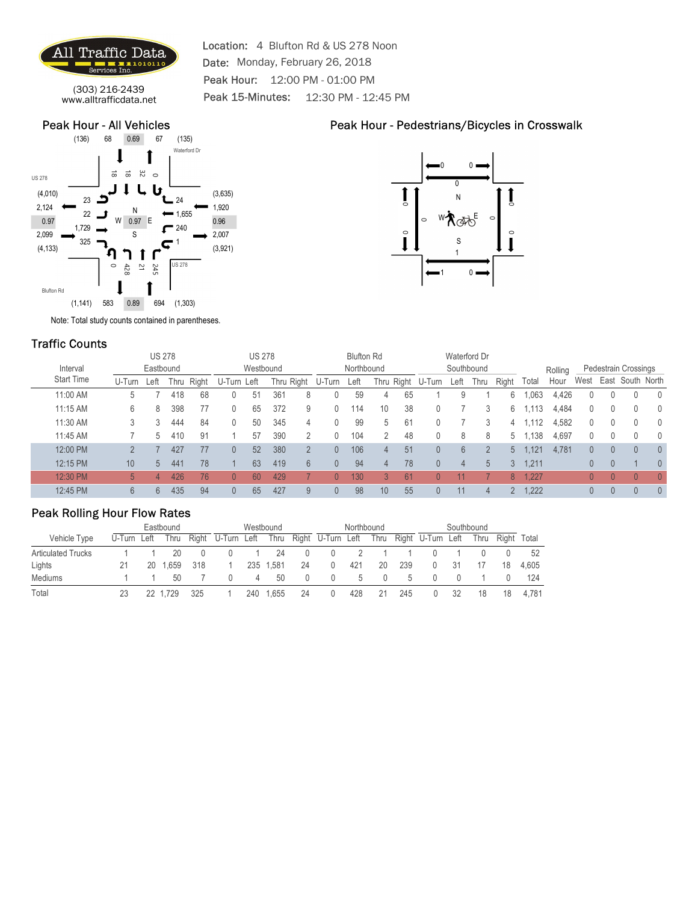

 $(303)$  216-2439<br>ww.alltrafficdata.net **Peak 15-Minutes:** Location: 4 Blufton Rd & US 278 Noon Date: Monday, February 26, 2018 Peak Hour: 12:00 PM - 01:00 PM 12:30 PM - 12:45 PM **ffic Data**<br>
Location: 4 Blufton Rd & US 278 Noon<br>
Date: Monday, February 26, 2018<br>
Peak Hour: 12:00 PM - 01:00 PM<br> **Ficidita.net**<br>
Peak 15-Minutes: 12:30 PM - 12:45 PM<br> **All Vehicles**<br> **Fig. 135**<br> **Peak Hour - Pedestrian** 

#### Peak Hour - All Vehicles





### Traffic Counts

|                                                                                                                   | Services Inc.                                                                       |                                                                              |                                                    |             |                                              |                            | Date: Monday, February 26, 2018 |                |                     |                                 |                 |                                               |                |                            |                          |                |                 |                                               |                                 |                      |                |                       |
|-------------------------------------------------------------------------------------------------------------------|-------------------------------------------------------------------------------------|------------------------------------------------------------------------------|----------------------------------------------------|-------------|----------------------------------------------|----------------------------|---------------------------------|----------------|---------------------|---------------------------------|-----------------|-----------------------------------------------|----------------|----------------------------|--------------------------|----------------|-----------------|-----------------------------------------------|---------------------------------|----------------------|----------------|-----------------------|
|                                                                                                                   |                                                                                     |                                                                              |                                                    |             |                                              |                            | Peak Hour: 12:00 PM - 01:00 PM  |                |                     |                                 |                 |                                               |                |                            |                          |                |                 |                                               |                                 |                      |                |                       |
| www.alltrafficdata.net                                                                                            | (303) 216-2439                                                                      |                                                                              |                                                    |             |                                              |                            | Peak 15-Minutes:                |                | 12:30 PM - 12:45 PM |                                 |                 |                                               |                |                            |                          |                |                 |                                               |                                 |                      |                |                       |
| <b>Peak Hour - All Vehicles</b>                                                                                   |                                                                                     |                                                                              |                                                    |             |                                              |                            |                                 |                |                     |                                 |                 |                                               |                |                            |                          |                |                 | Peak Hour - Pedestrians/Bicycles in Crosswalk |                                 |                      |                |                       |
| (136)<br><b>US 278</b><br>(4,010)<br>2,124<br>0.97<br>1.729<br>2,099<br>(4, 133)<br><b>Blufton Rd</b><br>(1, 141) | 68<br>0.69<br>$\vec{\circ}$<br>$\vec{8}$<br>0.97<br>$\circ$<br>$428$<br>0.89<br>583 | 67<br>32<br>$\circ$<br>21<br>245<br>694                                      | (135)<br>Waterford Dr<br><b>US 278</b><br>(1, 303) |             | (3,635)<br>1,920<br>0.96<br>2,007<br>(3,921) |                            |                                 |                |                     |                                 |                 | $\circ$                                       | $\circ$<br>⇔   | 0<br><b>™∧</b> ≪           | $\overline{\phantom{a}}$ |                |                 |                                               |                                 |                      |                |                       |
| Note: Total study counts contained in parentheses.                                                                |                                                                                     |                                                                              |                                                    |             |                                              |                            |                                 |                |                     |                                 |                 |                                               |                |                            |                          |                |                 |                                               |                                 |                      |                |                       |
| <b>Traffic Counts</b>                                                                                             |                                                                                     |                                                                              |                                                    |             |                                              |                            |                                 |                |                     |                                 |                 |                                               |                |                            |                          |                |                 |                                               |                                 |                      |                |                       |
| Interval                                                                                                          |                                                                                     | <b>US 278</b><br>Eastbound                                                   |                                                    |             |                                              | <b>US 278</b><br>Westbound |                                 |                |                     | <b>Blufton Rd</b><br>Northbound |                 |                                               |                | Waterford Dr<br>Southbound |                          |                |                 |                                               |                                 | Pedestrain Crossings |                |                       |
| <b>Start Time</b>                                                                                                 |                                                                                     | U-Turn Left Thru Right U-Turn Left                                           |                                                    |             |                                              |                            |                                 |                | Thru Right U-Turn   | Left                            |                 | Thru Right U-Turn Left Thru Right Total       |                |                            |                          |                |                 | Rolling<br>Hour                               |                                 |                      |                | West East South North |
| 11:00 AM                                                                                                          | 5                                                                                   |                                                                              | 418                                                | 68          | 0                                            | 51                         | 361                             | 8              | 0                   | 59                              |                 | 65                                            |                |                            |                          | 6              | 1,063           | 4,426                                         | $\mathbf{0}$                    | 0                    |                |                       |
| 11:15 AM                                                                                                          |                                                                                     | 8                                                                            | 398                                                | 77          |                                              | 65                         | 372                             | 9              | 0                   | 114                             | 10              | 38                                            |                |                            |                          | 6              | 1,113           | 4,484                                         | $\mathbf{0}$                    |                      |                |                       |
| 11:30 AM                                                                                                          |                                                                                     | 3                                                                            | 444                                                | 84          |                                              | 50                         | 345                             |                | 0                   | 99                              |                 | 61                                            |                |                            |                          | 4              | 1,112           | 4,582                                         | $\mathbf{0}$                    |                      |                |                       |
| 11:45 AM                                                                                                          |                                                                                     | 5                                                                            | 410                                                | 91          |                                              | 57                         | 390                             | $\overline{2}$ | $\mathbf{0}$        | 104                             |                 | 48                                            |                |                            |                          |                | 5 1,138         | 4,697                                         | $\mathbf{0}$                    | $\Omega$             |                |                       |
| 12:00 PM                                                                                                          |                                                                                     |                                                                              | 427                                                | 77          | $\Omega$                                     | 52                         | 380                             |                | $\overline{0}$      | 106                             |                 | 51                                            |                |                            |                          | 5 <sup>5</sup> |                 | 1,121 4,781                                   | $\mathbf{0}$                    | $\overline{0}$       |                |                       |
| 12:15 PM                                                                                                          | 10 <sup>°</sup>                                                                     |                                                                              | 5 441                                              | 78          |                                              | 63                         | 419                             |                | $\mathbf{0}$        | 94                              |                 | 78                                            |                |                            |                          |                | 3, 1, 211       |                                               | $\overline{0}$                  | $\overline{0}$       |                | $\overline{0}$        |
| 12:30 PM                                                                                                          |                                                                                     |                                                                              | 4 426                                              | 76          | $\theta$                                     | 60                         | 429                             |                | $\overline{0}$      | 130                             |                 | 61                                            | $\cup$         | 11                         |                          |                | 8, 1,227        |                                               | $\overline{0}$                  | $\overline{0}$       | $\Omega$       |                       |
| 12:45 PM                                                                                                          | 6 <sup>1</sup>                                                                      |                                                                              | 6 435                                              | 94          | $\overline{0}$                               | 65                         | 427                             | 9              | $\mathbf{0}$        | 98                              | 10 <sup>°</sup> | 55                                            | $\overline{0}$ | 11                         |                          |                | $2 \quad 1,222$ |                                               | $\begin{matrix} 0 \end{matrix}$ | $\overline{0}$       | $\overline{0}$ | $\overline{0}$        |
| <b>Peak Rolling Hour Flow Rates</b>                                                                               |                                                                                     |                                                                              |                                                    |             |                                              |                            |                                 |                |                     |                                 |                 |                                               |                |                            |                          |                |                 |                                               |                                 |                      |                |                       |
|                                                                                                                   |                                                                                     | Eastbound                                                                    |                                                    |             |                                              |                            | Westbound                       |                |                     | Northbound                      |                 |                                               |                | Southbound                 |                          |                |                 |                                               |                                 |                      |                |                       |
| Vehicle Type                                                                                                      | U-Turn Left                                                                         |                                                                              |                                                    |             | Thru Right U-Turn Left                       |                            |                                 |                |                     |                                 |                 | Thru Right U-Turn Left Thru Right U-Turn Left |                |                            | Thru Right Total         |                |                 |                                               |                                 |                      |                |                       |
| Articulated Trucks                                                                                                | $\overline{1}$                                                                      |                                                                              | 20                                                 | $\mathbf 0$ | 0                                            |                            | 24                              |                |                     | $\overline{2}$                  |                 |                                               |                |                            | $\mathbf{0}$             | 0              | 52              |                                               |                                 |                      |                |                       |
| Lights                                                                                                            | 21                                                                                  |                                                                              | 20 1,659 318                                       |             |                                              |                            | 235 1,581                       | 24             | $\overline{0}$      | 421                             | 20              | 239                                           | $\overline{0}$ | - 31                       | 17                       |                | 18 4,605        |                                               |                                 |                      |                |                       |
| Mediums                                                                                                           |                                                                                     |                                                                              |                                                    |             |                                              |                            |                                 |                |                     |                                 |                 |                                               |                |                            |                          |                |                 |                                               |                                 |                      |                |                       |
| Total                                                                                                             |                                                                                     | 23  22  1,729  325  1  240  1,655  24  0  428  21  245  0  32  18  18  4,781 |                                                    |             |                                              |                            |                                 |                |                     |                                 |                 |                                               |                |                            |                          |                |                 |                                               |                                 |                      |                |                       |
|                                                                                                                   |                                                                                     |                                                                              |                                                    |             |                                              |                            |                                 |                |                     |                                 |                 |                                               |                |                            |                          |                |                 |                                               |                                 |                      |                |                       |
|                                                                                                                   |                                                                                     |                                                                              |                                                    |             |                                              |                            |                                 |                |                     |                                 |                 |                                               |                |                            |                          |                |                 |                                               |                                 |                      |                |                       |
|                                                                                                                   |                                                                                     |                                                                              |                                                    |             |                                              |                            |                                 |                |                     |                                 |                 |                                               |                |                            |                          |                |                 |                                               |                                 |                      |                |                       |
|                                                                                                                   |                                                                                     |                                                                              |                                                    |             |                                              |                            |                                 |                |                     |                                 |                 |                                               |                |                            |                          |                |                 |                                               |                                 |                      |                |                       |
|                                                                                                                   |                                                                                     |                                                                              |                                                    |             |                                              |                            |                                 |                |                     |                                 |                 |                                               |                |                            |                          |                |                 |                                               |                                 |                      |                |                       |

|                           |             |    | Eastbound    |     |                   |     | Westbound |    |                   | Northbound |      |     |                   |    | Southbound |    |             |
|---------------------------|-------------|----|--------------|-----|-------------------|-----|-----------|----|-------------------|------------|------|-----|-------------------|----|------------|----|-------------|
| Vehicle Type              | U-Turn Left |    | Thru         |     | Right U-Turn Left |     | Thru      |    | Right U-Turn Left |            | Thru |     | Right U-Turn Left |    | Thru       |    | Right Total |
| <b>Articulated Trucks</b> |             |    |              |     |                   |     | 24        |    |                   |            |      |     |                   |    |            |    | .52         |
| Lights                    |             | 20 | .659         | 318 |                   | 235 | 1.581     | 24 | $\theta$          | 421        | 20   | 239 |                   |    |            | 18 | 4.605       |
| Mediums                   |             |    | $50^{\circ}$ |     |                   |     | 50        |    | $\cup$            |            |      |     |                   |    |            |    | 124         |
| Total                     | 23          |    | .729         | 325 |                   | 240 | .655      | 24 |                   | 428        | 21   | 245 |                   | 32 | 18         | 18 | 4.781       |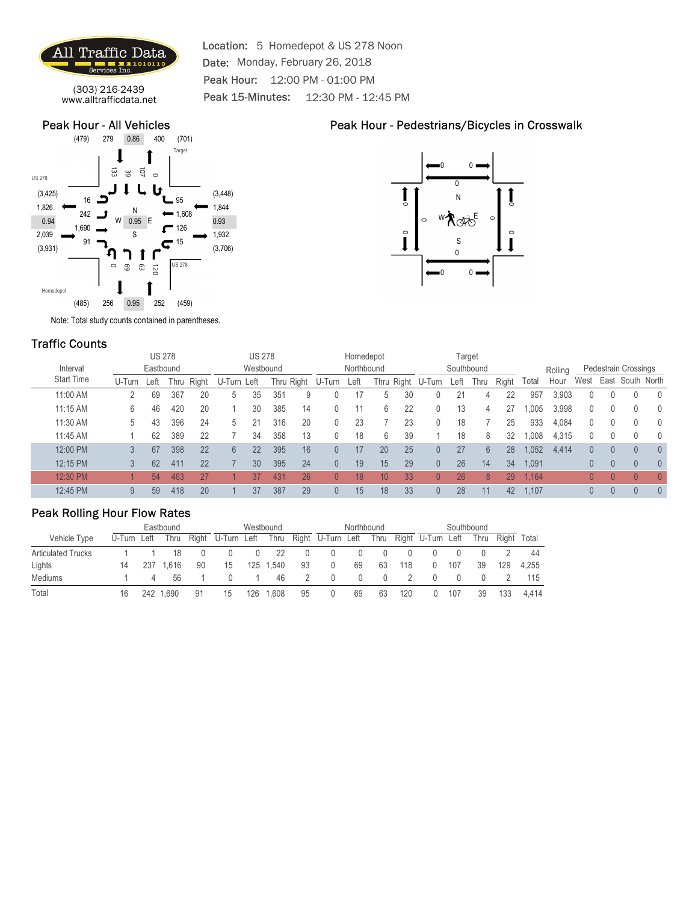

 $(303)$  216-2439<br>ww.alltrafficdata.net **Peak 15-Minutes:** Location: 5 Homedepot & US 278 Noon Date: Monday, February 26, 2018 Peak Hour: 12:00 PM - 01:00 PM 12:30 PM - 12:45 PM **CORRECTED SET AND RESERVED AS A USE OF A USE OF A USE A SET AND REST AND RELAXABLE SET AND RELAXABLE PORT OF A UP AND RELAXABLE SET A UP AND RELAXABLE SET A UP AND RELAXABLE SET A UP AND RELAXABLE SET A UP AND RELAXABLE** 

#### Peak Hour - All Vehicles





### Traffic Counts

|                                                    | Services Inc.                |                                                 |                        |    |                                   |                 | Date: Monday, February 26, 2018                                                |    |                     |                    |                 |                        |                  |                         |                          |             |           |                                               |              |                                                                      |                |                |
|----------------------------------------------------|------------------------------|-------------------------------------------------|------------------------|----|-----------------------------------|-----------------|--------------------------------------------------------------------------------|----|---------------------|--------------------|-----------------|------------------------|------------------|-------------------------|--------------------------|-------------|-----------|-----------------------------------------------|--------------|----------------------------------------------------------------------|----------------|----------------|
|                                                    |                              |                                                 |                        |    |                                   |                 | Peak Hour: 12:00 PM - 01:00 PM                                                 |    |                     |                    |                 |                        |                  |                         |                          |             |           |                                               |              |                                                                      |                |                |
| www.alltrafficdata.net                             | (303) 216-2439               |                                                 |                        |    |                                   |                 | Peak 15-Minutes:                                                               |    | 12:30 PM - 12:45 PM |                    |                 |                        |                  |                         |                          |             |           |                                               |              |                                                                      |                |                |
| <b>Peak Hour - All Vehicles</b><br>(479)           | 279<br>0.86                  | 400                                             | (701)                  |    |                                   |                 |                                                                                |    |                     |                    |                 |                        |                  |                         |                          |             |           | Peak Hour - Pedestrians/Bicycles in Crosswalk |              |                                                                      |                |                |
| <b>US 278</b><br>(3, 425)                          | 133<br>39                    | $\overline{0}$<br>$\circ$<br>U                  | Target                 |    | (3, 448)                          |                 |                                                                                |    |                     |                    |                 |                        |                  |                         | $^{\circ}$               |             |           |                                               |              |                                                                      |                |                |
| 1,826<br>0.94<br>2,039<br>(3,931)                  |                              |                                                 | 95                     |    | 1.844<br>0.93<br>1,932<br>(3,706) |                 |                                                                                |    |                     |                    |                 | $\circ$<br>$\circ$     | $\circ$          | <b>™∧</b> ≪             | $\circ$                  |             |           |                                               |              |                                                                      |                |                |
| Homedepot<br>(485)                                 | $\circ$<br>69<br>256<br>0.95 | 63<br>$\overline{021}$<br>252                   | <b>US 278</b><br>(459) |    |                                   |                 |                                                                                |    |                     |                    |                 |                        | $\longleftarrow$ |                         | $\overline{\phantom{a}}$ |             |           |                                               |              |                                                                      |                |                |
| Note: Total study counts contained in parentheses. |                              |                                                 |                        |    |                                   |                 |                                                                                |    |                     |                    |                 |                        |                  |                         |                          |             |           |                                               |              |                                                                      |                |                |
| <b>Traffic Counts</b>                              |                              |                                                 |                        |    |                                   |                 |                                                                                |    |                     |                    |                 |                        |                  |                         |                          |             |           |                                               |              |                                                                      |                |                |
|                                                    |                              | <b>US 278</b>                                   |                        |    |                                   | <b>US 278</b>   |                                                                                |    |                     | Homedepot          |                 |                        |                  | Target                  |                          |             |           |                                               |              |                                                                      |                |                |
| Interval<br><b>Start Time</b>                      |                              | Eastbound<br>U-Turn Left Thru Right U-Turn Left |                        |    |                                   | Westbound       |                                                                                |    | Thru Right U-Turn   | Northbound<br>Left |                 | Thru Right U-Turn      |                  | Southbound<br>Left Thru |                          | Right Total |           | Rolling<br>Hour                               |              | Pedestrain Crossings<br>West East South North                        |                |                |
| 11:00 AM                                           | 2                            | 69                                              | 367                    | 20 | 5                                 | 35              | 351                                                                            | 9  | 0                   | 17                 | 5               | 30                     |                  | 21                      |                          | 22          | 957       | 3,903                                         | 0            | $\Omega$                                                             |                |                |
| 11:15 AM                                           | 6                            | 46                                              | 420                    | 20 |                                   | 30              | 385                                                                            | 14 | 0                   | 11                 | 6               | 22                     |                  | 13                      |                          | 27          | 1,005     | 3,998                                         | 0            |                                                                      |                |                |
| 11:30 AM                                           |                              | 43                                              | 396                    | 24 |                                   | 21              | 316                                                                            | 20 | 0                   | 23                 |                 | 23                     |                  | 18                      |                          | 25          | 933       | 4,084                                         | 0            |                                                                      |                |                |
| 11:45 AM                                           |                              | 62                                              | 389                    | 22 |                                   | 34              | 358                                                                            | 13 | 0                   | 18                 | 6               | 39                     |                  | 18                      |                          | 32          | 1,008     | 4,315                                         | $\mathbf{0}$ |                                                                      |                |                |
| 12:00 PM                                           |                              | 67                                              | 398                    | 22 |                                   | 22              | 395                                                                            | 16 | $\overline{0}$      | 17                 | 20              | 25                     |                  | 27                      |                          | 28          |           | 1,052 4,414                                   | $\mathbf{0}$ | $\theta$                                                             |                |                |
| 12:15 PM                                           |                              | 62                                              | 411                    | 22 |                                   | 30 <sup>°</sup> | 395                                                                            | 24 | $\mathbf{0}$        | 19                 | 15              | 29                     | $\overline{0}$   | 26                      | 14                       |             | 34 1,091  |                                               | $\mathbf{0}$ | $\overline{0}$                                                       | $\overline{0}$ | 0              |
| 12:30 PM                                           |                              | 54                                              | 463                    | 27 |                                   | 37              | 431                                                                            | 26 | $\Omega$            | 18                 | 10 <sup>°</sup> | 33                     | $\Omega$         | 26                      |                          |             | 29 1,164  |                                               | $0-1$        | $\overline{0}$                                                       |                |                |
| 12:45 PM                                           | $9 -$                        |                                                 | 59 418                 | 20 |                                   | 37              | 387                                                                            | 29 | $\overline{0}$      | 15                 | 18              | 33                     | $\mathbf{0}$     | 28                      | 11                       |             | 42 1,107  |                                               |              | $\begin{matrix} 0 \end{matrix} \qquad \begin{matrix} 0 \end{matrix}$ | $\overline{0}$ | $\overline{0}$ |
| <b>Peak Rolling Hour Flow Rates</b>                |                              |                                                 |                        |    |                                   |                 |                                                                                |    |                     |                    |                 |                        |                  |                         |                          |             |           |                                               |              |                                                                      |                |                |
|                                                    |                              |                                                 |                        |    |                                   |                 |                                                                                |    |                     |                    |                 |                        |                  |                         |                          |             |           |                                               |              |                                                                      |                |                |
| Vehicle Type                                       | U-Turn Left                  | Eastbound                                       |                        |    |                                   | Westbound       | Thru Right U-Turn Left Thru Right U-Turn Left                                  |    |                     | Northbound         |                 | Thru Right U-Turn Left |                  | Southbound              | Thru Right Total         |             |           |                                               |              |                                                                      |                |                |
| Articulated Trucks                                 | $\overline{1}$               |                                                 | 18                     | 0  |                                   | 0               | 22                                                                             | 0  |                     | $\mathbf{0}$       | $\theta$        |                        |                  | 0                       | $\mathbf{0}$             | 2           | 44        |                                               |              |                                                                      |                |                |
| Lights                                             | 14                           | 237 1,616                                       |                        | 90 | 0<br>15                           |                 | 125 1.540                                                                      | 93 | $\mathbf 0$         | 69                 |                 | 63 118                 | $\mathbf{0}$     | 107                     | 39                       |             | 129 4,255 |                                               |              |                                                                      |                |                |
| Mediums                                            |                              |                                                 |                        |    |                                   |                 | 1  4  56  1  0  1  46  2  0  0  0  2  0  0  0  2  115                          |    |                     |                    |                 |                        |                  |                         |                          |             |           |                                               |              |                                                                      |                |                |
| Total                                              |                              |                                                 |                        |    |                                   |                 | 16  242  1,690  91  15  126  1,608  95  0  69  63  120  0  107  39  133  4,414 |    |                     |                    |                 |                        |                  |                         |                          |             |           |                                               |              |                                                                      |                |                |
|                                                    |                              |                                                 |                        |    |                                   |                 |                                                                                |    |                     |                    |                 |                        |                  |                         |                          |             |           |                                               |              |                                                                      |                |                |
|                                                    |                              |                                                 |                        |    |                                   |                 |                                                                                |    |                     |                    |                 |                        |                  |                         |                          |             |           |                                               |              |                                                                      |                |                |
|                                                    |                              |                                                 |                        |    |                                   |                 |                                                                                |    |                     |                    |                 |                        |                  |                         |                          |             |           |                                               |              |                                                                      |                |                |
|                                                    |                              |                                                 |                        |    |                                   |                 |                                                                                |    |                     |                    |                 |                        |                  |                         |                          |             |           |                                               |              |                                                                      |                |                |
|                                                    |                              |                                                 |                        |    |                                   |                 |                                                                                |    |                     |                    |                 |                        |                  |                         |                          |             |           |                                               |              |                                                                      |                |                |
|                                                    |                              |                                                 |                        |    |                                   |                 |                                                                                |    |                     |                    |                 |                        |                  |                         |                          |             |           |                                               |              |                                                                      |                |                |

|                           |             |     | Eastbound |    |                   |     | Westbound |    |                   | Northbound |      |     |                   |     | Southbound |     |             |
|---------------------------|-------------|-----|-----------|----|-------------------|-----|-----------|----|-------------------|------------|------|-----|-------------------|-----|------------|-----|-------------|
| Vehicle Type              | U-Turn Left |     | Thru      |    | Right U-Turn Left |     | Thru      |    | Right U-Turn Left |            | Thru |     | Right U-Turn Left |     | Thru       |     | Right Total |
| <b>Articulated Trucks</b> |             |     |           |    |                   |     | -22       |    |                   |            |      |     |                   |     |            |     | -44         |
| Lights                    | 14          | 237 | .616      | 90 | 15                | 125 | 1.540     | 93 | 0                 | 69         | 63   | 118 | $\theta$          | 107 | 39         | 129 | 4.255       |
| Mediums                   |             |     | 56        |    |                   |     | 46        |    | $\cup$            |            |      |     |                   |     |            |     | 115         |
| Total                     | 16          |     | 242 1.690 | 91 | 15                | 126 | 0.608     | 95 | 0                 | 69         | 63   | 120 | 0                 | 107 | 39         | 133 | 4.414       |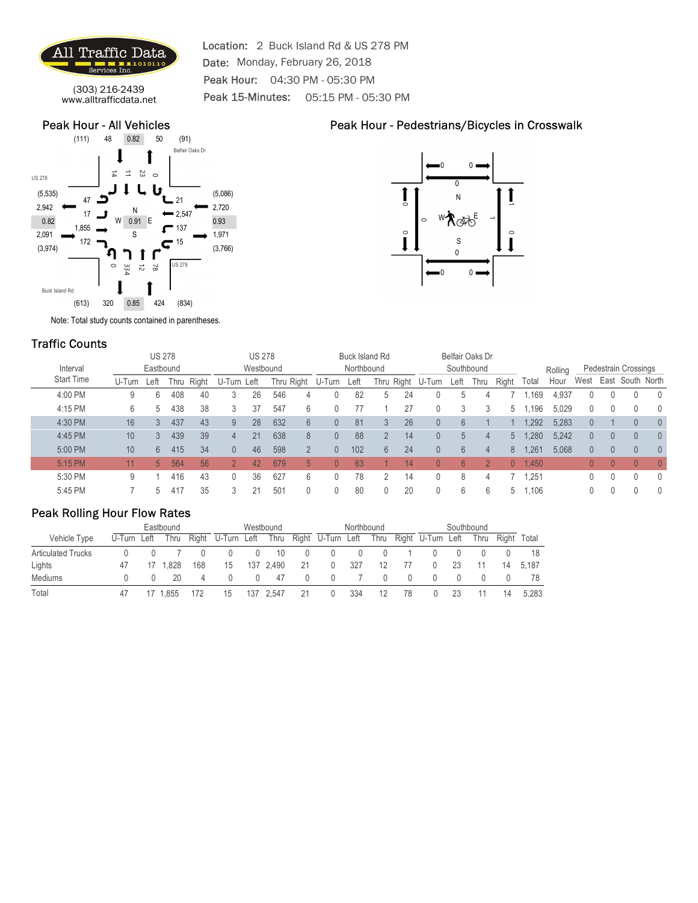

(303) 216-2439<br>rw.alltrafficdata.net **Peak 15-Minutes:** 05:15 PM - 05:30 PM Location: 2 Buck Island Rd & US 278 PM Date: Monday, February 26, 2018 Peak Hour: 04:30 PM - 05:30 PM **ffic Data**<br>
Location: 2 Buck Island Rd & US 278 PM<br>
Date: Monday, February 26, 2018<br>
Peak Hour: 04:30 PM - 05:30 PM<br> **All Vehicles**<br>
Peak 15-Minutes: 05:15 PM - 05:30 PM<br> **All Vehicles**<br>
Peak Hour - Pedestrians/Bicycles

#### Peak Hour - All Vehicles





### Traffic Counts

|                           |                                                    | Services Inc.                                   |                         |                         |             |                      | Date: Monday, February 26, 2018                                      |    |                        |                |                |         |                                         |                 |                  |                |                 |                                               |                |                |                                  |                                  |
|---------------------------|----------------------------------------------------|-------------------------------------------------|-------------------------|-------------------------|-------------|----------------------|----------------------------------------------------------------------|----|------------------------|----------------|----------------|---------|-----------------------------------------|-----------------|------------------|----------------|-----------------|-----------------------------------------------|----------------|----------------|----------------------------------|----------------------------------|
|                           |                                                    |                                                 |                         |                         |             |                      | Peak Hour: 04:30 PM - 05:30 PM                                       |    |                        |                |                |         |                                         |                 |                  |                |                 |                                               |                |                |                                  |                                  |
|                           | (303) 216-2439<br>www.alltrafficdata.net           |                                                 |                         |                         |             |                      | Peak 15-Minutes:                                                     |    | 05:15 PM - 05:30 PM    |                |                |         |                                         |                 |                  |                |                 |                                               |                |                |                                  |                                  |
|                           | <b>Peak Hour - All Vehicles</b>                    |                                                 |                         |                         |             |                      |                                                                      |    |                        |                |                |         |                                         |                 |                  |                |                 | Peak Hour - Pedestrians/Bicycles in Crosswalk |                |                |                                  |                                  |
|                           | (111)                                              | 48<br>0.82                                      | 50                      | (91)<br>Belfair Oaks Dr |             |                      |                                                                      |    |                        |                |                |         |                                         |                 |                  |                |                 |                                               |                |                |                                  |                                  |
| <b>US 278</b><br>(5, 535) |                                                    | $\overrightarrow{\phantom{a}}$<br>$\frac{1}{4}$ | 23<br>$\circ$<br>u      |                         | (5,086)     |                      |                                                                      |    |                        |                |                |         |                                         | $0 =$           |                  |                |                 |                                               |                |                |                                  |                                  |
| 2,942                     |                                                    |                                                 |                         |                         | 2,720       |                      |                                                                      |    |                        |                |                | $\circ$ |                                         |                 |                  |                |                 |                                               |                |                |                                  |                                  |
| 0.82                      |                                                    |                                                 |                         |                         | 0.93        |                      |                                                                      |    |                        |                |                |         | $\circ$                                 | <b>™∧</b> ≪     |                  |                |                 |                                               |                |                |                                  |                                  |
| 2,091                     | 1.855<br>172                                       |                                                 |                         |                         | 1,971       |                      |                                                                      |    |                        |                |                | $\circ$ |                                         |                 |                  |                |                 |                                               |                |                |                                  |                                  |
| (3, 974)                  |                                                    | $\circ$<br>334                                  | $\rm ^{2}$<br>$\vec{c}$ | <b>US 278</b>           | (3,766)     |                      |                                                                      |    |                        |                |                |         | $\rule{0.2cm}{0.15mm}$                  | S<br>$0 =$      |                  |                |                 |                                               |                |                |                                  |                                  |
| Buck Island Rd            |                                                    |                                                 |                         |                         |             |                      |                                                                      |    |                        |                |                |         |                                         |                 |                  |                |                 |                                               |                |                |                                  |                                  |
|                           | (613)                                              | 320<br>0.85                                     | 424                     | (834)                   |             |                      |                                                                      |    |                        |                |                |         |                                         |                 |                  |                |                 |                                               |                |                |                                  |                                  |
|                           | Note: Total study counts contained in parentheses. |                                                 |                         |                         |             |                      |                                                                      |    |                        |                |                |         |                                         |                 |                  |                |                 |                                               |                |                |                                  |                                  |
|                           |                                                    |                                                 |                         |                         |             |                      |                                                                      |    |                        |                |                |         |                                         |                 |                  |                |                 |                                               |                |                |                                  |                                  |
|                           | <b>Traffic Counts</b>                              |                                                 |                         |                         |             |                      |                                                                      |    |                        |                |                |         |                                         |                 |                  |                |                 |                                               |                |                |                                  |                                  |
|                           |                                                    |                                                 | <b>US 278</b>           |                         |             |                      | <b>US 278</b>                                                        |    |                        | Buck Island Rd |                |         |                                         | Belfair Oaks Dr |                  |                |                 |                                               |                |                |                                  |                                  |
|                           | Interval                                           |                                                 | Eastbound               |                         |             |                      | Westbound                                                            |    |                        | Northbound     |                |         |                                         | Southbound      |                  |                |                 | Rolling                                       |                |                | Pedestrain Crossings             |                                  |
|                           | <b>Start Time</b>                                  |                                                 |                         | U-Turn Left Thru Right  |             | U-Turn Left          |                                                                      |    | Thru Right U-Turn Left |                |                |         | Thru Right U-Turn Left Thru Right Total |                 |                  |                |                 | Hour                                          |                |                | West East South North            |                                  |
|                           | 4:00 PM                                            | -9                                              | 6                       | 408                     | 40          | 26<br>3              | 546                                                                  |    | 0                      | 82             | 5              | 24      | 0                                       | 5               |                  | $7\phantom{.}$ | 1,169           | 4,937                                         | 0              | $\mathbf{0}$   |                                  |                                  |
|                           | 4:15 PM                                            | 6                                               | 5                       | 438                     | 38          | 37<br>3              | 547                                                                  |    | 0                      | 77             |                | 27      | $\theta$                                | 3               | 3                |                | 5 1,196         | 5,029                                         | 0              | $\theta$       |                                  |                                  |
|                           | 4:30 PM                                            | 16                                              | 3                       | 437                     | 43          | 9                    | 28<br>632                                                            |    | $\overline{0}$         | 81             |                | 26      |                                         |                 |                  |                | 1,292           | 5,283                                         | $\theta$       |                |                                  |                                  |
|                           | 4:45 PM                                            | 10                                              | 3                       | 439                     | 39          | 21<br>$\overline{4}$ | 638                                                                  |    | $\overline{0}$         | 88             |                | 14      | $\Omega$                                |                 |                  |                | $5 \quad 1,280$ | 5,242                                         | $\mathbf{0}$   | $\overline{0}$ | $\overline{0}$                   |                                  |
|                           | 5:00 PM                                            | 10                                              | 6                       | 415                     | 34          | 46<br>$\mathbf{0}$   | 598                                                                  |    | $\overline{0}$         | 102            | 6              | 24      | $\overline{0}$                          |                 |                  |                | 8 1,261         | 5,068                                         | $\mathbf{0}$   | $\overline{0}$ | $\overline{0}$                   |                                  |
|                           | 5:15 PM                                            |                                                 | 5 564                   |                         | 56          |                      | 42<br>679                                                            |    | $\Omega$               | 63             |                | 14      |                                         |                 |                  |                | $0 \quad 1,450$ |                                               | $\overline{0}$ | $\Omega$       |                                  |                                  |
|                           |                                                    | 11 <sup>2</sup>                                 |                         |                         |             |                      |                                                                      |    |                        |                |                |         |                                         |                 |                  |                |                 |                                               |                |                |                                  |                                  |
|                           | 5:30 PM                                            | 9                                               |                         | 416                     | 43          | $\mathbf{0}$         | $36\,$<br>627                                                        |    | $\mathbf{0}$           | 78             | $\overline{2}$ | 14      | $\mathbf{0}$                            | 8               |                  |                | 7, 1, 251       |                                               | 0              | $\mathbf 0$    | $\mathbf 0$                      | $\begin{array}{c} \n\end{array}$ |
|                           | 5:45 PM                                            | 7                                               | 5                       | 417                     | 35          | 21<br>3              | 501                                                                  |    | $\theta$               | 80             | $\mathbf{0}$   | 20      | $\mathbf{0}$                            | 6               |                  |                | 5 1,106         |                                               | 0              | $\mathbf{0}$   | $\begin{array}{c} \n\end{array}$ | $\mathbf{0}$                     |
|                           | <b>Peak Rolling Hour Flow Rates</b>                |                                                 |                         |                         |             |                      |                                                                      |    |                        |                |                |         |                                         |                 |                  |                |                 |                                               |                |                |                                  |                                  |
|                           |                                                    |                                                 | Eastbound               |                         |             |                      | Westbound                                                            |    |                        | Northbound     |                |         |                                         | Southbound      |                  |                |                 |                                               |                |                |                                  |                                  |
|                           | Vehicle Type                                       | U-Turn Left                                     |                         |                         |             |                      | Thru Right U-Turn Left Thru Right U-Turn Left Thru Right U-Turn Left |    |                        |                |                |         |                                         |                 | Thru Right Total |                |                 |                                               |                |                |                                  |                                  |
| <b>Articulated Trucks</b> |                                                    | $\mathbf 0$                                     | $\mathbf{0}$            | 7                       | $\mathbf 0$ | 0                    | $\mathbf 0$<br>10                                                    | 0  | $\theta$               | $\mathbf{0}$   |                |         | $\mathbf{0}$                            | $\mathbf 0$     | $\mathbf 0$      | 0              | 18              |                                               |                |                |                                  |                                  |
| Lights                    |                                                    | 47                                              | 17 1,828                | 168                     | 15          |                      | 137 2.490                                                            | 21 | 0                      | 327            | 12             | 77      | $\mathbf 0$                             | - 23            | 11               | 14 5,187       |                 |                                               |                |                |                                  |                                  |
|                           |                                                    |                                                 |                         |                         |             |                      | 0 0 20 4 0 0 47 0 0 7 0 0 0 0 0 0 78                                 |    |                        |                |                |         |                                         |                 |                  |                |                 |                                               |                |                |                                  |                                  |
|                           |                                                    |                                                 |                         |                         |             |                      | 47 17 1,855 172 15 137 2,547 21 0 334 12 78 0 23 11 14 5,283         |    |                        |                |                |         |                                         |                 |                  |                |                 |                                               |                |                |                                  |                                  |
|                           |                                                    |                                                 |                         |                         |             |                      |                                                                      |    |                        |                |                |         |                                         |                 |                  |                |                 |                                               |                |                |                                  |                                  |
| Mediums<br>Total          |                                                    |                                                 |                         |                         |             |                      |                                                                      |    |                        |                |                |         |                                         |                 |                  |                |                 |                                               |                |                |                                  |                                  |
|                           |                                                    |                                                 |                         |                         |             |                      |                                                                      |    |                        |                |                |         |                                         |                 |                  |                |                 |                                               |                |                |                                  |                                  |
|                           |                                                    |                                                 |                         |                         |             |                      |                                                                      |    |                        |                |                |         |                                         |                 |                  |                |                 |                                               |                |                |                                  |                                  |

|                           |             |      | Eastbound |     |                   |      | Westbound |                  |                   | Northbound |      |    |                   | Southbound |             |       |
|---------------------------|-------------|------|-----------|-----|-------------------|------|-----------|------------------|-------------------|------------|------|----|-------------------|------------|-------------|-------|
| Vehicle Type              | U-Turn Left |      | Thru      |     | Right U-Turn Left |      | Thru      |                  | Right U-Turn Left |            | Thru |    | Right U-Turn Left | Thru       | Right Total |       |
| <b>Articulated Trucks</b> |             |      |           |     |                   |      | 10        | $\left( \right)$ |                   |            |      |    |                   |            |             | 18    |
| Lights                    |             | - 17 | .828      | 168 | 15                | 137. | 2.490     | -21              | $\overline{0}$    | 327        | 12   |    |                   |            | 14          | 5.187 |
| Mediums                   |             |      |           |     |                   |      | 47        | ()               |                   |            |      |    |                   |            |             | 78    |
| Total                     |             |      | .855      | 172 | 15                | 137  | 2,547     |                  | $\theta$          | 334        | 12   | 78 |                   |            | 14          | 5.283 |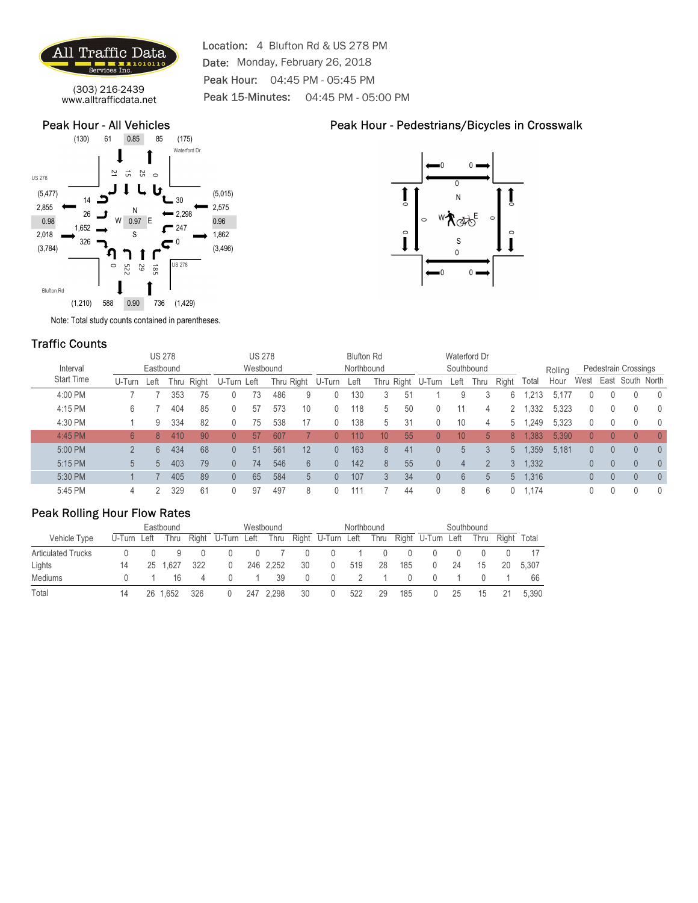

(303) 216-2439<br>rw.alltrafficdata.net **Peak 15-Minutes:** 04:45 PM - 05:00 PM Location: 4 Blufton Rd & US 278 PM Date: Monday, February 26, 2018 Peak Hour: 04:45 PM - 05:45 PM **ffic Data**<br>
Location: 4 Blufton Rd & US 278 PM<br>
Date: Monday, February 26, 2018<br>
Peak Hour: 04:45 PM - 05:45 PM<br> **Ficidata.net**<br>
Peak 15-Minutes: 04:45 PM - 05:00 PM<br> **All Vehicles**<br>
Peak Hour - Pedestrians/Bicycles in (

#### Peak Hour - All Vehicles





### Traffic Counts

| <b>EXTR1010110</b><br>Services Inc.                                                                                                                                                                                              | Date: Monday, February 26, 2018               |                                    |                                                                                                                      |                                                                         |
|----------------------------------------------------------------------------------------------------------------------------------------------------------------------------------------------------------------------------------|-----------------------------------------------|------------------------------------|----------------------------------------------------------------------------------------------------------------------|-------------------------------------------------------------------------|
|                                                                                                                                                                                                                                  | Peak Hour: 04:45 PM - 05:45 PM                |                                    |                                                                                                                      |                                                                         |
| (303) 216-2439<br>www.alltrafficdata.net                                                                                                                                                                                         | Peak 15-Minutes:                              | 04:45 PM - 05:00 PM                |                                                                                                                      |                                                                         |
| <b>Peak Hour - All Vehicles</b><br>0.85<br>(130)<br>61<br>85<br>(175)                                                                                                                                                            |                                               |                                    | Peak Hour - Pedestrians/Bicycles in Crosswalk                                                                        |                                                                         |
| Waterford Dr<br>SS.<br>$\overline{\mathcal{L}}$<br>$\vec{5}$<br>$\circ$<br><b>US 278</b><br>Lt<br>(5, 477)<br>2,855<br>0.98<br>1.65:<br>2,018<br>(3,784)<br><b>US 278</b><br>$\circ$<br>522<br>29<br>$95\,$<br><b>Blufton Rd</b> | (5,015)<br>2,575<br>0.96<br>1,862<br>(3, 496) | $\circ$<br>$\circ$                 | 0.<br><b>™∧</b> ≪<br>$\circ$<br>$\circ$<br>$\longleftarrow$<br>$\overline{\phantom{a}}$                              |                                                                         |
| 0.90<br>588<br>736<br>(1, 210)<br>(1,429)                                                                                                                                                                                        |                                               |                                    |                                                                                                                      |                                                                         |
| Note: Total study counts contained in parentheses.                                                                                                                                                                               |                                               |                                    |                                                                                                                      |                                                                         |
| <b>Traffic Counts</b>                                                                                                                                                                                                            |                                               |                                    |                                                                                                                      |                                                                         |
| <b>US 278</b><br>Eastbound<br>Interval                                                                                                                                                                                           | <b>US 278</b><br>Westbound                    | <b>Blufton Rd</b><br>Northbound    | Waterford Dr<br>Southbound                                                                                           | Pedestrain Crossings                                                    |
| <b>Start Time</b><br>U-Turn Left Thru Right U-Turn Left                                                                                                                                                                          | Thru Right U-Turn                             | Left                               | Thru Right U-Turn Left Thru Right Total                                                                              | Rolling<br>West East South North<br>Hour                                |
| 4:00 PM<br>353<br>7                                                                                                                                                                                                              | 73<br>486<br>75<br>$\mathbf 0$                | 130<br>51<br>$\mathbf 0$<br>3<br>9 | 6<br>9<br>3                                                                                                          | 1,213 5,177<br>0<br>0                                                   |
| 4:15 PM<br>404                                                                                                                                                                                                                   | 57<br>85<br>573<br>10<br>$\mathbf{0}$         | 118<br>50<br>$\mathbf{0}$<br>5     | 2 1,332<br>11                                                                                                        | 5,323<br>0<br>0                                                         |
| 4:30 PM<br>334<br>9                                                                                                                                                                                                              | 82<br>75<br>538<br>17<br>$\mathbf{0}$         | 138<br>31<br>$\mathbf{0}$<br>5     | 5 1,249<br>10                                                                                                        | 5,323<br>0<br>0                                                         |
| 4:45 PM<br>8 410<br>6                                                                                                                                                                                                            | 90<br>57<br>607<br>$\theta$                   | 0 110<br>10 <sup>°</sup><br>55     | 8 1,383<br>10 <sup>°</sup>                                                                                           | 5,390<br>$\mathbf{0}$<br>$\overline{0}$                                 |
| 5:00 PM<br>434<br>6                                                                                                                                                                                                              | 68<br>51<br>561<br>12<br>$\mathbf{0}$         | $0$ 163<br>8<br>41                 |                                                                                                                      | 5 1,359 5,181<br>$\mathbf{0}$<br>$\overline{0}$<br>$\theta$<br>$\theta$ |
| 5:15 PM<br>403<br>$5\overline{)}$                                                                                                                                                                                                | 74<br>546<br>79<br>$\overline{0}$             | $0$ 142<br>55<br>8<br>6            | 3, 1, 332                                                                                                            | $\mathbf{0}$<br>$\overline{0}$<br>$\overline{0}$<br>0                   |
| 5:30 PM<br>405                                                                                                                                                                                                                   | 89<br>65<br>584                               | $0$ 107<br>34<br>3                 | 5 1,316                                                                                                              | $\mathbf{0}$<br>$\overline{0}$<br>$\overline{0}$                        |
| 5:45 PM<br>329<br>$\overline{2}$<br>4                                                                                                                                                                                            | 61<br>97<br>497<br>$\Omega$                   | $0$ 111<br>44                      | $\Omega$<br>$0 \quad 1,174$<br>8                                                                                     | $\mathbf 0$<br>$\mathbf{0}$<br>$\Omega$<br>$\bigcap$                    |
| <b>Peak Rolling Hour Flow Rates</b>                                                                                                                                                                                              |                                               |                                    |                                                                                                                      |                                                                         |
| Eastbound                                                                                                                                                                                                                        | Westbound                                     | Northbound                         | Southbound                                                                                                           |                                                                         |
| Vehicle Type<br>U-Turn Left                                                                                                                                                                                                      | Thru Right U-Turn Left Thru Right U-Turn Left |                                    | Thru Right U-Turn Left<br>Thru Right Total                                                                           |                                                                         |
|                                                                                                                                                                                                                                  |                                               |                                    |                                                                                                                      |                                                                         |
| <b>Articulated Trucks</b><br>$\mathbf 0$<br>9<br>$\mathbf{0}$                                                                                                                                                                    | 0<br>0<br>$\theta$                            | $\mathbf{0}$<br>$\theta$           | 17<br>0<br>$\mathbf 0$<br>0                                                                                          |                                                                         |
| 25 1,627 322<br>14                                                                                                                                                                                                               | 0<br>246 2,252<br>30                          | 519<br>28<br>185<br>$\mathbf{0}$   | $\overline{0}$<br>-24<br>15<br>20 5,307                                                                              |                                                                         |
| Lights                                                                                                                                                                                                                           |                                               |                                    |                                                                                                                      |                                                                         |
| Mediums<br>Total                                                                                                                                                                                                                 |                                               |                                    | 0 1 16 4 0 1 39 0 0 2 1 0 0 1 0 1 66<br>14  26  1,652  326  0  247  2,298  30  0  522  29  185  0  25  15  21  5,390 |                                                                         |

|                           |             |    | Eastbound |     |                   |     | Westbound |    |                   | Northbound |      |     |                   |    | Southbound |             |       |
|---------------------------|-------------|----|-----------|-----|-------------------|-----|-----------|----|-------------------|------------|------|-----|-------------------|----|------------|-------------|-------|
| Vehicle Type              | U-Turn Left |    | Thru      |     | Right U-Turn Left |     | Thru      |    | Right U-Turn Left |            | Thru |     | Right U-Turn Left |    | Thru       | Right Total |       |
| <b>Articulated Trucks</b> |             |    |           |     |                   |     |           |    |                   |            |      |     |                   |    |            |             |       |
| Lights                    | 14          | 25 | 1.627     | 322 |                   |     | 246 2.252 | 30 | $\Omega$          | 519        | 28   | 185 | 0                 | 24 | 15         | 20          | 5.307 |
| Mediums                   |             |    | 16        |     |                   |     | 39        |    |                   |            |      |     |                   |    |            |             | 66    |
| Total                     |             | 26 | .652ء     | 326 |                   | 247 | 2,298     | 30 | U                 | 522        | 29   | 185 |                   | 25 |            |             | 5.390 |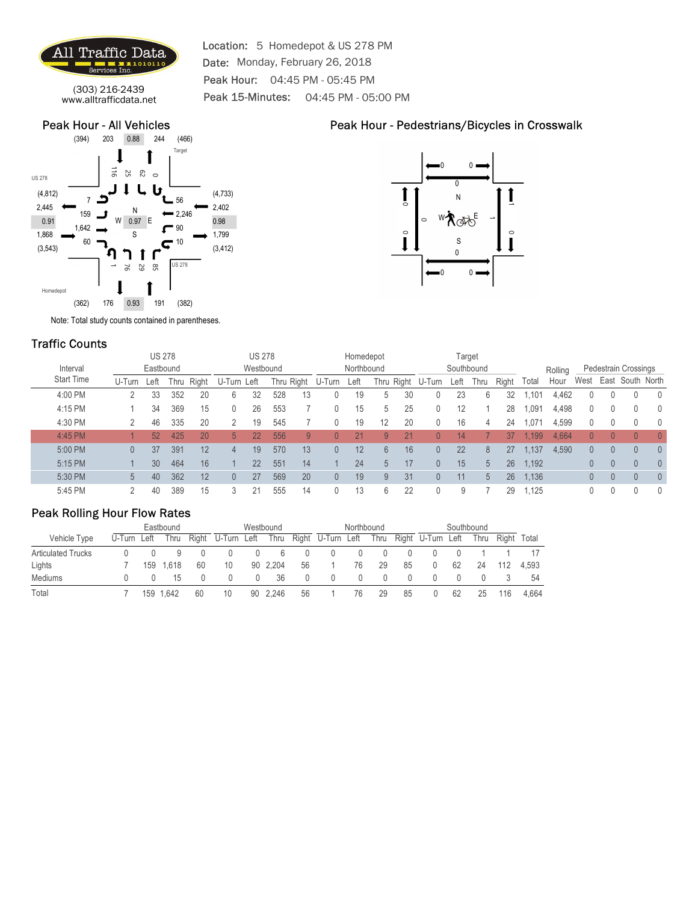

Location: 5 Homedepot & US 278 PM Date: Monday, February 26, 2018 Peak Hour: 04:45 PM - 05:45 PM Peak 15-Minutes: 04:45 PM - 05:00 PM **EXECUTE:** Data Location: 5 Homedepot & US 278 PM<br>
Date: Monday, February 26, 2018<br>
Peak Hour: 04:45 PM - 05:45 PM<br> **Peak Hour: 04:45 PM - 05:00 PM**<br> **Peak Hour - Pedestrians/Bicycles in**<br> **Peak Hour - Pedestrians/Bicycle** 

#### Peak Hour - All Vehicles



### Peak Hour - Pedestrians/Bicycles in Crosswalk



### Traffic Counts

|                                                                 | Services Inc.             |                    |                               |    |                                                |               |                  |              | Date: Monday, February 26, 2018                            |                    |              |                    |                        |                         |                  |                 |          |                                               |              |                |                                               |                |
|-----------------------------------------------------------------|---------------------------|--------------------|-------------------------------|----|------------------------------------------------|---------------|------------------|--------------|------------------------------------------------------------|--------------------|--------------|--------------------|------------------------|-------------------------|------------------|-----------------|----------|-----------------------------------------------|--------------|----------------|-----------------------------------------------|----------------|
|                                                                 |                           |                    |                               |    |                                                |               |                  |              | Peak Hour: 04:45 PM - 05:45 PM                             |                    |              |                    |                        |                         |                  |                 |          |                                               |              |                |                                               |                |
| www.alltrafficdata.net                                          | (303) 216-2439            |                    |                               |    |                                                |               | Peak 15-Minutes: |              | 04:45 PM - 05:00 PM                                        |                    |              |                    |                        |                         |                  |                 |          |                                               |              |                |                                               |                |
| <b>Peak Hour - All Vehicles</b><br>(394)                        | 203<br>0.88               | 244                | (466)                         |    |                                                |               |                  |              |                                                            |                    |              |                    |                        |                         |                  |                 |          | Peak Hour - Pedestrians/Bicycles in Crosswalk |              |                |                                               |                |
| <b>US 278</b><br>(4, 812)<br>2,445<br>0.91<br>1,868<br>(3, 543) | $\frac{1}{2}$<br>52       | 52<br>$\circ$<br>Ŀ | Target<br>56<br><b>US 278</b> |    | (4, 733)<br>2,402<br>0.98<br>1,799<br>(3, 412) |               |                  |              |                                                            |                    |              | $\circ$<br>$\circ$ | $\circ$                | <b>™∧</b> ⊗≽€<br>S      | 0.               |                 |          |                                               |              |                |                                               |                |
| Homedepot<br>(362)                                              | $\sqrt{6}$<br>0.93<br>176 | 59<br>85<br>191    | (382)                         |    |                                                |               |                  |              |                                                            |                    |              |                    | $\longleftarrow$       |                         | $0 =$            |                 |          |                                               |              |                |                                               |                |
| Note: Total study counts contained in parentheses.              |                           |                    |                               |    |                                                |               |                  |              |                                                            |                    |              |                    |                        |                         |                  |                 |          |                                               |              |                |                                               |                |
| <b>Traffic Counts</b>                                           |                           |                    |                               |    |                                                |               |                  |              |                                                            |                    |              |                    |                        |                         |                  |                 |          |                                               |              |                |                                               |                |
|                                                                 |                           | <b>US 278</b>      |                               |    |                                                | <b>US 278</b> |                  |              |                                                            | Homedepot          |              |                    |                        | Target                  |                  |                 |          |                                               |              |                |                                               |                |
| Interval<br><b>Start Time</b>                                   |                           | Eastbound          |                               |    | U-Turn Left Thru Right U-Turn Left             |               | Westbound        |              | Thru Right U-Turn                                          | Northbound<br>Left |              |                    | Thru Right U-Turn      | Southbound<br>Left Thru |                  | Right Total     |          | Rolling<br>Hour                               |              |                | Pedestrain Crossings<br>West East South North |                |
| 4:00 PM                                                         | $\overline{2}$            | 33                 | 352                           | 20 | 6                                              | 32            | 528              | 13           | 0                                                          | 19                 | 5            | 30                 |                        | 23                      | 6                | 32              | 1,101    | 4,462                                         | $\mathbf 0$  | $\mathbf{0}$   |                                               |                |
| 4:15 PM                                                         |                           | 34                 | 369                           | 15 | $\mathbf 0$                                    | 26            | 553              |              | 0                                                          | 15                 | 5            | 25                 |                        | 12                      |                  | 28              | 1,091    | 4,498                                         | 0            | $\theta$       |                                               |                |
| 4:30 PM                                                         | 2                         | 46                 | 335                           | 20 | 2                                              | 19            | 545              |              | 0                                                          | 19                 | 12           | 20                 |                        | 16                      |                  | 24              | 1,071    | 4,599                                         | 0            | 0              |                                               |                |
| 4:45 PM                                                         |                           |                    | 52 425                        | 20 | 5                                              | 22            | 556              | g            | $\overline{0}$                                             | 21                 | $\mathbf{Q}$ | 21                 |                        | 14                      |                  | 37 <sup>2</sup> | 1,199    | 4,664                                         | $\mathbf{0}$ | $\overline{0}$ |                                               |                |
| 5:00 PM                                                         | $\theta$                  | 37                 | 391                           | 12 |                                                | 19            | 570              | 13           | $\overline{0}$                                             | 12                 | 6            | 16                 | $\Omega$               | 22                      |                  | 27              |          | 1,137 4,590                                   | $\mathbf{0}$ | $\overline{0}$ | $\theta$                                      | $\theta$       |
| 5:15 PM                                                         |                           | 30 <sup>°</sup>    | 464                           | 16 |                                                | 22            | 551              | 14           |                                                            | 24                 | 5            | 17                 | $\overline{0}$         | 15                      |                  |                 | 26 1,192 |                                               | $\mathbf{0}$ | $\overline{0}$ | $\overline{0}$                                | 0              |
| 5:30 PM                                                         |                           | 40                 | 362                           | 12 |                                                | 27            | 569              | 20           | $\overline{0}$                                             | 19                 | 9            | 31                 | $\overline{0}$         | 11                      |                  | 26              | 1,136    |                                               | $\mathbf{0}$ | $\overline{0}$ |                                               | $\overline{0}$ |
| 5:45 PM                                                         | $\overline{2}$            | 40                 | 389                           | 15 | 3                                              | 21            | 555              | 14           | $\mathbf 0$                                                | 13                 | 6            | 22                 | $\Omega$               | 9                       |                  |                 | 29 1,125 |                                               | $\mathbf 0$  | $\mathbf{0}$   | $\bigcap$                                     | $\Omega$       |
| <b>Peak Rolling Hour Flow Rates</b>                             |                           |                    |                               |    |                                                |               |                  |              |                                                            |                    |              |                    |                        |                         |                  |                 |          |                                               |              |                |                                               |                |
|                                                                 |                           | Eastbound          |                               |    |                                                |               | Westbound        |              |                                                            | Northbound         |              |                    |                        | Southbound              |                  |                 |          |                                               |              |                |                                               |                |
| Vehicle Type                                                    | U-Turn Left               |                    |                               |    |                                                |               |                  |              | Thru Right U-Turn Left Thru Right U-Turn Left              |                    |              |                    | Thru Right U-Turn Left |                         | Thru Right Total |                 |          |                                               |              |                |                                               |                |
| Articulated Trucks                                              | $\mathbf 0$               | $\mathbf{0}$       | 9                             | 0  | 0                                              | $\mathbf{0}$  | 6                | $\mathbf{0}$ |                                                            | $\mathbf{0}$       | $\theta$     |                    |                        | 0                       |                  |                 | 17       |                                               |              |                |                                               |                |
| Lights                                                          | 7                         |                    | 159 1,618                     | 60 | 10                                             |               | 90 2,204         | 56           |                                                            | 76                 | 29           | 85                 | 0                      | 62                      | 24 112 4.593     |                 |          |                                               |              |                |                                               |                |
| Mediums                                                         |                           |                    |                               |    |                                                |               |                  |              | 0 0 15 0 0 0 36 0 0 0 0 0 0 0 0 0 3 54                     |                    |              |                    |                        |                         |                  |                 |          |                                               |              |                |                                               |                |
| Total                                                           |                           |                    |                               |    |                                                |               |                  |              | 7 159 1,642 60 10 90 2,246 56 1 76 29 85 0 62 25 116 4,664 |                    |              |                    |                        |                         |                  |                 |          |                                               |              |                |                                               |                |
|                                                                 |                           |                    |                               |    |                                                |               |                  |              |                                                            |                    |              |                    |                        |                         |                  |                 |          |                                               |              |                |                                               |                |

|                           |             | Eastbound |    |                   |    | Westbound |    |                   | Northbound |      |    |                   |    | Southbound |             |       |
|---------------------------|-------------|-----------|----|-------------------|----|-----------|----|-------------------|------------|------|----|-------------------|----|------------|-------------|-------|
| Vehicle Type              | U-Turn Left | Thru      |    | Right U-Turn Left |    | Thru      |    | Right U-Turn Left |            | Thru |    | Right U-Turn Left |    | Thru       | Right Total |       |
| <b>Articulated Trucks</b> |             |           |    |                   |    |           |    |                   |            |      |    |                   |    |            |             |       |
| Lights                    |             | 159 1.618 | 60 | 10                |    | 90 2,204  | 56 |                   | 76         | -29  | 85 | 0                 | 62 | 24         | 112         | 4.593 |
| Mediums                   |             |           |    |                   |    | 36        |    |                   |            |      |    |                   |    |            |             | -54   |
| Total                     |             | 159 1.642 | 60 | 10                | 90 | 2,246     | 56 |                   | 76         | 29   | 85 |                   | 62 | 25         | 116         | 4.664 |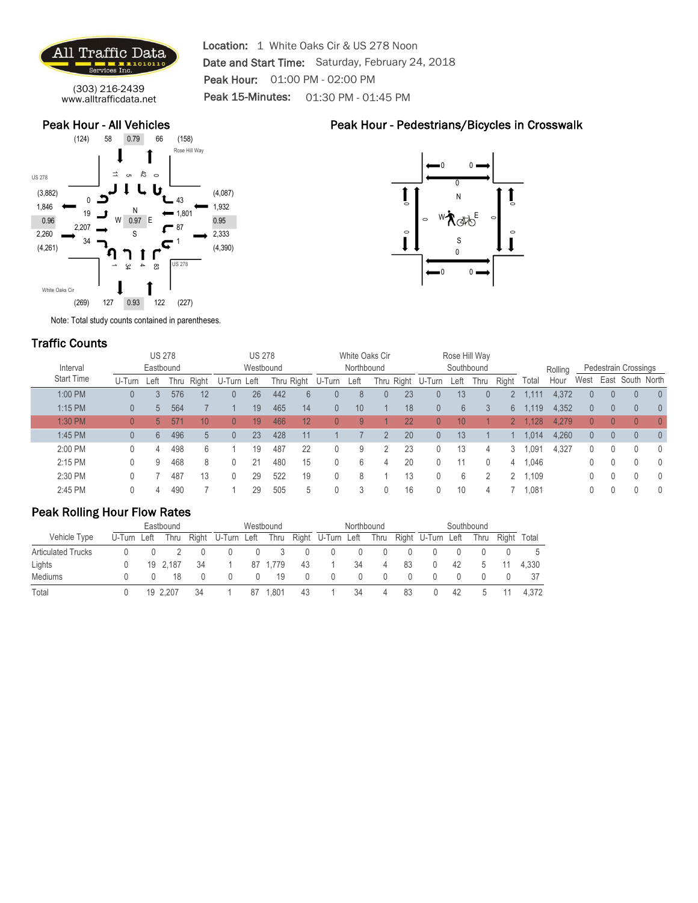

Location: 1 White Oaks Cir & US 278 Noon Date and Start Time: Saturday, February 24, 2018 Peak Hour: 01:00 PM - 02:00 PM Peak 15-Minutes: 01:30 PM - 01:45 PM

(303) 216-2439 www.alltrafficdata.net

#### Peak Hour - All Vehicles



Peak Hour - Pedestrians/Bicycles in Crosswalk



Note: Total study counts contained in parentheses.

### Traffic Counts

|                   |                | <b>US 278</b> |      |       |              | <b>US 278</b> |     |            |                | White Oaks Cir |                |            |                | Rose Hill Way |              |             |       |         |                |                |                      |              |
|-------------------|----------------|---------------|------|-------|--------------|---------------|-----|------------|----------------|----------------|----------------|------------|----------------|---------------|--------------|-------------|-------|---------|----------------|----------------|----------------------|--------------|
| Interval          |                | Eastbound     |      |       |              | Westbound     |     |            |                | Northbound     |                |            |                | Southbound    |              |             |       | Rolling |                |                | Pedestrain Crossings |              |
| <b>Start Time</b> | U-Turn         | Left          | Thru | Right | U-Turn Left  |               |     | Thru Right | U-Turn         | Left           |                | Thru Right | U-Turn         | Left          | Thru         | Right       | Total | Hour    | West           | East           | South North          |              |
| 1:00 PM           | $\overline{0}$ | 3             | 576  | 12    | $\theta$     | 26            | 442 | 6          | $\overline{0}$ | 8              | $\overline{0}$ | 23         | 0              | 13            | $\Omega$     |             | 1,111 | 4,372   | $\overline{0}$ | $\overline{0}$ | $\Omega$             | $\theta$     |
| $1:15$ PM         | 0              | 5             | 564  |       |              | 19            | 465 | 14         | $\theta$       | 10             |                | 18         | $\overline{0}$ | 6             | 3            | 6           | 1,119 | 4,352   | $\mathbf{0}$   | 0              | $\Omega$             | $\theta$     |
| 1:30 PM           | $\overline{0}$ | 5             | 571  | 10    | $\Omega$     | 19            | 466 | 12         | $\mathbf{0}$   | 9              |                | 22         | $\overline{0}$ | 10            |              | $2^{\circ}$ | .1287 | 4.279   | $\mathbf{0}$   | $\overline{0}$ | $\overline{0}$       | $\Omega$     |
| 1:45 PM           | $\overline{0}$ | 6             | 496  | 5     | $\mathbf{0}$ | 23            | 428 | 11         |                |                |                | 20         | $\overline{0}$ | 13            |              |             | 1,014 | 4,260   | $\overline{0}$ | 0              | $\overline{0}$       | $\theta$     |
| 2:00 PM           | 0              | 4             | 498  | 6     |              | 19            | 487 | 22         | 0              | 9              |                | 23         | 0              | 13            | 4            | 3           | ,091  | 4,327   | 0              |                | 0                    | $\mathbf{0}$ |
| 2:15 PM           |                | 9             | 468  | 8     | 0            | 21            | 480 | 15         | 0              | 6              | 4              | 20         | 0              | 11            | $\mathbf{0}$ | 4           | 1,046 |         | 0              |                |                      | $\mathbf{0}$ |
| 2:30 PM           |                |               | 487  | 13    | 0            | 29            | 522 | 19         | 0              | 8              |                | 13         | 0              | 6             |              | 2           | 1.109 |         | 0              |                |                      | $\mathbf{0}$ |
| 2:45 PM           |                |               | 490  |       |              | 29            | 505 | 5          |                |                |                | 16         | 0              | 10            | 4            |             | 1.081 |         |                |                |                      |              |

|                           |        |      | Eastbound |       |             |    | Westbound |       |             |    | Northbound |    |                   |    | Southbound |       |       |
|---------------------------|--------|------|-----------|-------|-------------|----|-----------|-------|-------------|----|------------|----|-------------------|----|------------|-------|-------|
| Vehicle Type              | U-Turn | Left | Thru      | Right | U-Turn Left |    | Thru      | Right | U-Turn Left |    | Thru       |    | Right U-Turn Left |    | Thru       | Riaht | Total |
| <b>Articulated Trucks</b> |        |      |           |       |             |    |           |       |             |    |            |    |                   |    |            |       |       |
| ∟ights                    |        |      | 19 2.187  | 34    |             | 87 | 1.779     | 43    |             | 34 | 4          | 83 |                   | 42 |            |       | 4.330 |
| <b>Mediums</b>            |        |      |           |       |             |    | 19        |       |             |    |            |    |                   |    |            |       | 37    |
| Total                     |        |      | 19 2.207  | 34    |             | 87 | .801      | 43    |             | 34 | 4          | 83 |                   | 42 | C          |       | 4.372 |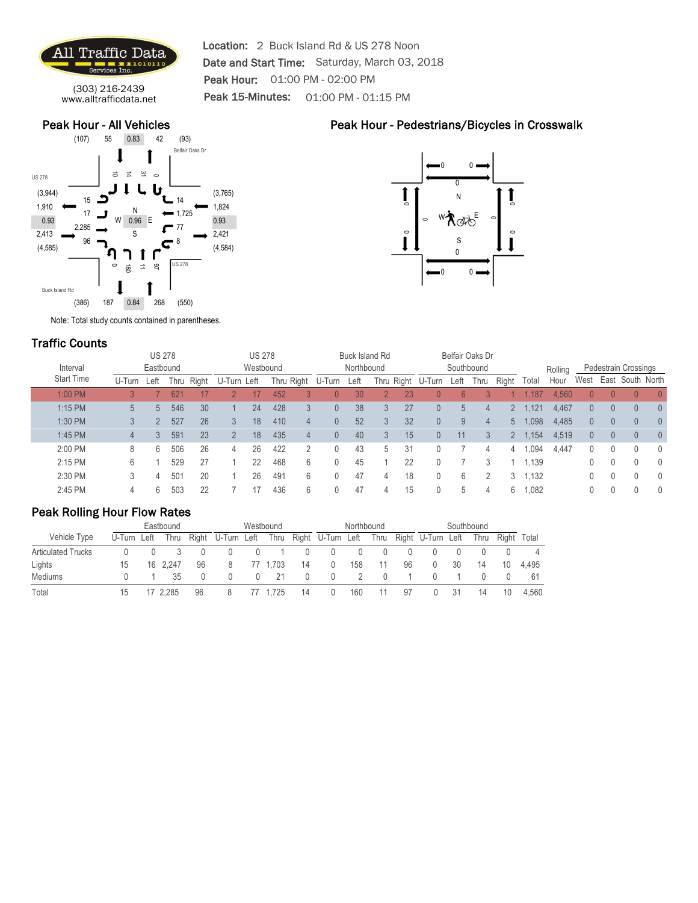

Location: 2 Buck Island Rd & US 278 Noon Date and Start Time: Saturday, March 03, 2018 Peak Hour: 01:00 PM - 02:00 PM Peak 15-Minutes: 01:00 PM - 01:15 PM

(303) 216-2439 www.alltrafficdata.net



Peak Hour - Pedestrians/Bicycles in Crosswalk



Note: Total study counts contained in parentheses.

### Traffic Counts

|                   |        | <b>US 278</b> |      |       |                | <b>US 278</b> |     |                |                | <b>Buck Island Rd</b> |   |    |                   |            | Belfair Oaks Dr |                |       |         |                |                |                      |                |
|-------------------|--------|---------------|------|-------|----------------|---------------|-----|----------------|----------------|-----------------------|---|----|-------------------|------------|-----------------|----------------|-------|---------|----------------|----------------|----------------------|----------------|
| Interval          |        | Eastbound     |      |       |                | Westbound     |     |                |                | Northbound            |   |    |                   | Southbound |                 |                |       | Rolling |                |                | Pedestrain Crossings |                |
| <b>Start Time</b> | U-Turn | Left          | Thru | Right | U-Turn Left    |               |     | Thru Right     | U-Turn         | Left                  |   |    | Thru Right U-Turn | Left       | Thru            | Right          | Total | Hour    | West           |                | East South North     |                |
| 1:00 PM           |        |               | 621  | 17    |                |               | 452 |                | 0              | 30                    |   | 23 | 0                 | 6          |                 |                | .187  | 4.560   | $\overline{0}$ | $\overline{0}$ | $\theta$             | $\theta$       |
| $1:15$ PM         | 5      | 5             | 546  | 30    |                | 24            | 428 |                | $\overline{0}$ | 38                    | 3 | 27 | 0                 | 5          | 4               | $2^{\circ}$    | .121  | 4,467   | $\overline{0}$ | 0              | $\Omega$             | $\theta$       |
| 1:30 PM           |        |               | 527  | 26    | 3              | 18            | 410 | $\overline{4}$ | 0              | 52                    | 3 | 32 | 0                 | 9          | $\overline{4}$  | 5 <sup>5</sup> | 0.098 | 4,485   | $\overline{0}$ | 0              | $\Omega$             | $\theta$       |
| 1:45 PM           |        |               | 591  | 23    | $\overline{2}$ | 18            | 435 | 4              | $\overline{0}$ | 40                    | 3 | 15 | 0                 | 11         | 3               | $\mathbf{2}$   | 1,154 | 4,519   | $\mathbf{0}$   | $\theta$       | $\Omega$             | $\theta$       |
| 2:00 PM           | 8      | 6             | 506  | 26    | 4              | 26            | 422 |                | 0              | 43                    | 5 | 31 |                   |            | 4               | 4              | 0.094 | 4,447   | 0              | 0              |                      | $\mathbf{0}$   |
| 2:15 PM           | 6      |               | 529  | 27    |                | 22            | 468 | 6              | 0              | 45                    |   | 22 | 0                 |            |                 |                | 1,139 |         | 0              |                |                      | $\overline{0}$ |
| 2:30 PM           |        | 4             | 501  | 20    |                | 26            | 491 | 6              | 0              | 47                    | 4 | 18 | 0                 | 6          |                 | 3              | 1,132 |         |                |                |                      | $\mathbf{0}$   |
| 2:45 PM           |        | 6             | 503  | 22    |                |               | 436 | 6              |                | 47                    | 4 | 15 |                   |            | 4               | 6              | 1.082 |         | 0              |                |                      |                |

|                           |             | Eastbound |       |             | Westbound |    |                   |     | Northbound |     |                   |    | Southbound |       |       |
|---------------------------|-------------|-----------|-------|-------------|-----------|----|-------------------|-----|------------|-----|-------------------|----|------------|-------|-------|
| Vehicle Type              | U-Turn Left | Thru      | Right | U-Turn Left | Thru      |    | Right U-Turn Left |     | Thru       |     | Right U-Turn Left |    | Thru       | Riaht | Total |
| <b>Articulated Trucks</b> |             |           |       |             |           |    |                   |     |            |     |                   |    |            |       |       |
| Lights                    |             | 16 2.247  | 96    |             | 1.703     | 14 |                   | 158 |            | 96  |                   | 30 | 14         | 10    | 4.495 |
| <b>Mediums</b>            |             | 35        |       |             | -21       |    |                   |     |            |     |                   |    |            |       | 61    |
| Total                     | 15          | 2.285     | 96    |             | .725      | 14 |                   | 160 | 11         | -97 |                   | 31 | 14         | 10    | 4.560 |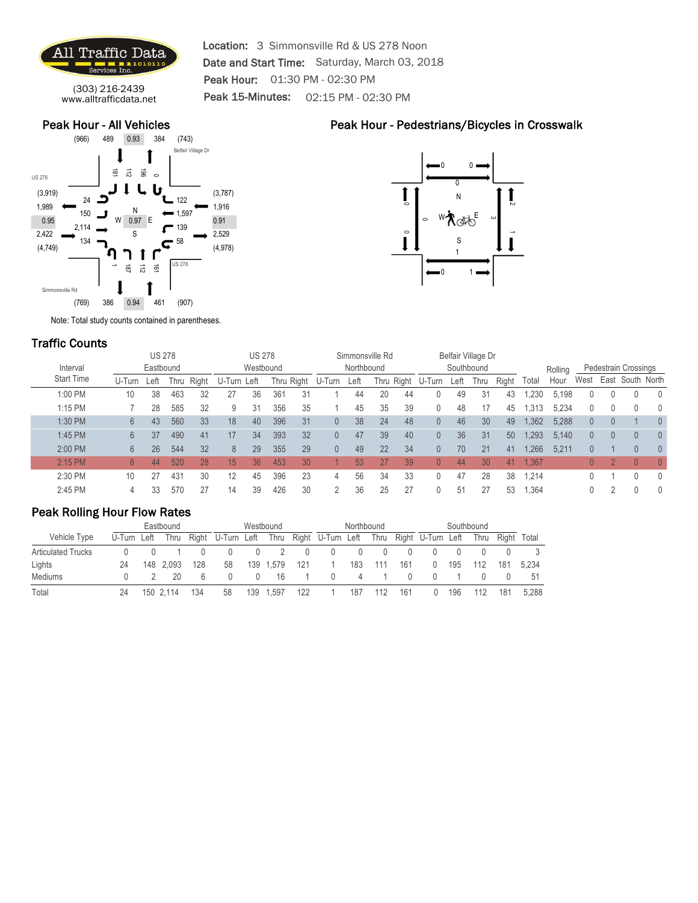

Location: 3 Simmonsville Rd & US 278 Noon Date and Start Time: Saturday, March 03, 2018 Peak Hour: 01:30 PM - 02:30 PM Peak 15-Minutes: 02:15 PM - 02:30 PM

(303) 216-2439 www.alltrafficdata.net

#### Peak Hour - All Vehicles



# Peak Hour - Pedestrians/Bicycles in Crosswalk



Note: Total study counts contained in parentheses.

## Traffic Counts

|                   |        | <b>US 278</b> |     |            |        | <b>US 278</b> |     |            |                | Simmonsville Rd |    |            |        |            | Belfair Village Dr |       |       |         |                |   |                      |                                  |
|-------------------|--------|---------------|-----|------------|--------|---------------|-----|------------|----------------|-----------------|----|------------|--------|------------|--------------------|-------|-------|---------|----------------|---|----------------------|----------------------------------|
| Interval          |        | Eastbound     |     |            |        | Westbound     |     |            |                | Northbound      |    |            |        | Southbound |                    |       |       | Rolling |                |   | Pedestrain Crossings |                                  |
| <b>Start Time</b> | U-Turn | Left          |     | Thru Right | U-Turn | Left          |     | Thru Right | U-Turn         | Left            |    | Thru Right | U-Turn | ∟eft       | Thru               | Right | Total | Hour    | West           |   | East South North     |                                  |
| 1:00 PM           | 10     | 38            | 463 | 32         | 27     | 36            | 361 | 31         |                | 44              | 20 | 44         | 0      | 49         | 31                 | 43    | .230  | 5.198   | 0              |   | 0                    | 0                                |
| 1:15 PM           |        | 28            | 585 | 32         | 9      | 31            | 356 | 35         |                | 45              | 35 | 39         | 0      | 48         |                    | 45    | .313  | 5.234   | 0              |   |                      | $\mathbf{0}$                     |
| 1:30 PM           | 6      | 43            | 560 | 33         | 18     | 40            | 396 | 31         | $\overline{0}$ | 38              | 24 | 48         | 0      | 46         | 30                 | 49    | ,362  | 5,288   | $\overline{0}$ |   |                      | $\overline{0}$                   |
| 1:45 PM           | 6      | 37            | 490 | 41         | 17     | 34            | 393 | 32         | $\overline{0}$ | 47              | 39 | 40         | 0      | 36         | 31                 | 50    | ,293  | 5.140   | $\overline{0}$ | 0 | $\theta$             | $\overline{0}$                   |
| 2:00 PM           | 6      | 26            | 544 | 32         | 8      | 29            | 355 | 29         | $\overline{0}$ | 49              | 22 | 34         | 0      | 70         | 21                 | 41    | .266  | 5.211   | 0              |   | $\Omega$             | $\Omega$                         |
| 2:15 PM           | 6      | 44            | 520 | 28         | 15     | 36            | 453 | 30         |                | 53              | 27 | 39         | 0      | 44         | 30                 | 41    | 1,367 |         | $\overline{0}$ |   | $\overline{0}$       | $\theta$                         |
| 2:30 PM           | 10     | 27            | 431 | 30         | 12     | 45            | 396 | 23         | 4              | 56              | 34 | 33         | 0      | 47         | 28                 | 38    | 1,214 |         | 0              |   |                      | $\begin{array}{c} \n\end{array}$ |
| 2:45 PM           |        | 33            | 570 | 27         | 14     | 39            | 426 | 30         | $\mathcal{D}$  | 36              | 25 | 27         | 0      | 51         | 27                 | 53    | .364  |         | 0              |   |                      | $\Omega$                         |

|                           |             | Eastbound |       |             |     | Westbound |     |                   | Northbound |      |     |                   |     | Southbound |     |             |
|---------------------------|-------------|-----------|-------|-------------|-----|-----------|-----|-------------------|------------|------|-----|-------------------|-----|------------|-----|-------------|
| Vehicle Type              | U-Turn Left | Thru      | Right | U-Turn Left |     | Thru      |     | Right U-Turn Left |            | Thru |     | Right U-Turn Left |     | Thru       |     | Right Total |
| <b>Articulated Trucks</b> |             |           |       |             |     |           |     |                   |            |      |     |                   |     |            |     |             |
| Lights                    | 24          | 148 2.093 | 128   | 58          | 139 | 1.579     | 121 |                   | 183        | 111  | 161 |                   | 195 | 112        | 181 | 5.234       |
| Mediums                   |             | 20        |       |             |     | 16        |     |                   |            |      |     |                   |     |            |     | -51         |
| Total                     |             | 150 2.114 | 134   | 58          | 139 | 1.597     | 122 |                   | 187        | 112  | 161 |                   | 196 | 112        | 181 | 5.288       |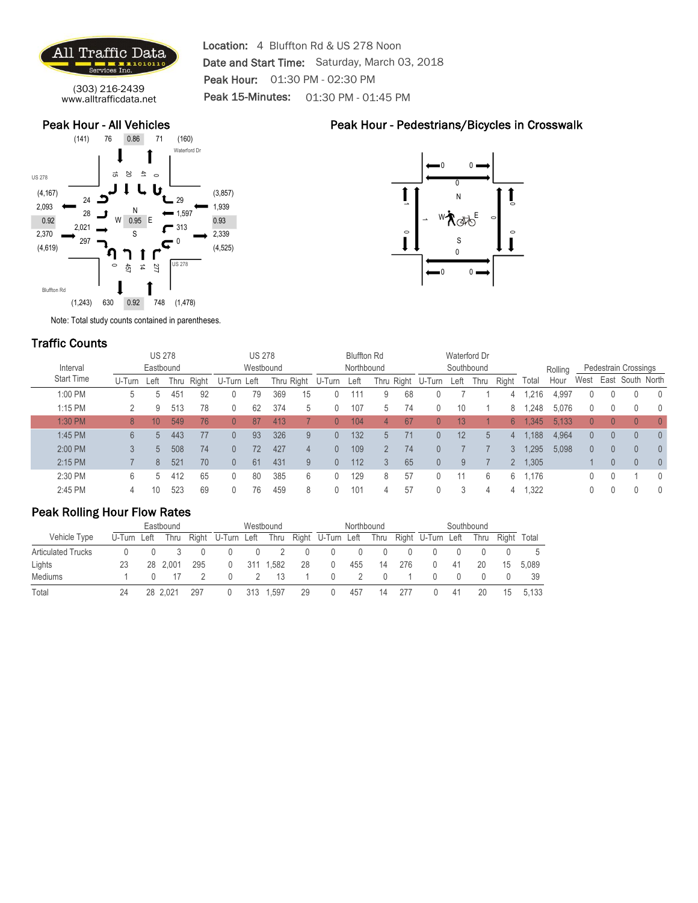

Location: 4 Bluffton Rd & US 278 Noon Date and Start Time: Saturday, March 03, 2018 Peak Hour: 01:30 PM - 02:30 PM Peak 15-Minutes: 01:30 PM - 01:45 PM

(303) 216-2439 www.alltrafficdata.net

#### Peak Hour - All Vehicles



Peak Hour - Pedestrians/Bicycles in Crosswalk



Note: Total study counts contained in parentheses.

### Traffic Counts

|          |                   |        | <b>US 278</b>   |     |            |                | <b>US 278</b> |     |    |                   | <b>Bluffton Rd</b> |                |    |                   | Waterford Dr |      |                |         |         |                |          |                      |              |
|----------|-------------------|--------|-----------------|-----|------------|----------------|---------------|-----|----|-------------------|--------------------|----------------|----|-------------------|--------------|------|----------------|---------|---------|----------------|----------|----------------------|--------------|
| Interval |                   |        | Eastbound       |     |            |                | Westbound     |     |    |                   | Northbound         |                |    |                   | Southbound   |      |                |         | Rolling |                |          | Pedestrain Crossings |              |
|          | <b>Start Time</b> | U-Turn | Left            |     | Thru Right | U-Turn Left    |               |     |    | Thru Right U-Turn | Left               |                |    | Thru Right U-Turn | Left         | Thru | Right          | Total   | Hour    | West           | East     | South                | North        |
|          | 1:00 PM           | 5      | 5               | 451 | 92         |                | 79            | 369 | 15 |                   | 111                | 9              | 68 |                   |              |      | 4              | ,216    | 4,997   | 0              |          | 0                    | $\theta$     |
| 1:15 PM  |                   |        | 9               | 513 | 78         | 0              | 62            | 374 | 5  |                   | 107                | 5              | 74 | 0                 | 10           |      | 8              | ,248    | 5,076   | 0              |          | 0                    | $\theta$     |
| 1:30 PM  |                   | 8      | 10 <sup>1</sup> | 549 | 76         | $\Omega$       | 87            | 413 |    | $\Omega$          | 104                | 4              | 67 | 0                 | 13           |      | 6              | .345    | 5.133   | $\overline{0}$ | $\theta$ | $\Omega$             | $\theta$     |
| 1:45 PM  |                   | 6      | 5 <sup>5</sup>  | 443 | 77         | $\Omega$       | 93            | 326 | 9  | $\Omega$          | 132                | 5 <sup>5</sup> | 71 | 0                 | 12           | 5    | $\overline{4}$ | .188    | 4,964   | $\mathbf{0}$   | $\theta$ | $\overline{0}$       | $\theta$     |
| 2:00 PM  |                   |        | 5               | 508 | 74         | $\Omega$       | 72            | 427 | 4  |                   | 109                | $\mathfrak{D}$ | 74 | 0                 |              |      |                | 1,295   | 5,098   | $\overline{0}$ | $\theta$ | $\Omega$             | $\theta$     |
| 2:15 PM  |                   |        | 8               | 521 | 70         | $\overline{0}$ | 61            | 431 | 9  | $\Omega$          | 112                | 3              | 65 | 0                 | 9            |      |                | 2 1,305 |         |                | $\Omega$ | $\overline{0}$       | $\theta$     |
| 2:30 PM  |                   | 6      | 5               | 412 | 65         | 0              | 80            | 385 | 6  |                   | 129                | 8              | 57 | 0                 | 11           | 6    |                | 6 1,176 |         |                |          |                      | $\mathbf{0}$ |
| 2:45 PM  |                   | 4      | 10              | 523 | 69         |                | 76            | 459 | 8  |                   | 101                | 4              | 57 |                   |              | 4    | 4              | 1.322   |         |                |          |                      | 0            |

|                           |             | Eastbound |       |             |     | Westbound   |       |             |     | Northbound |     |                   |    | Southbound |       |       |
|---------------------------|-------------|-----------|-------|-------------|-----|-------------|-------|-------------|-----|------------|-----|-------------------|----|------------|-------|-------|
| Vehicle Type              | U-Turn Left | Thru      | Right | U-Turn Left |     | <b>Thru</b> | Right | U-Turn Left |     | Thru       |     | Right U-Turn Left |    | Thru       | Riaht | Total |
| <b>Articulated Trucks</b> |             |           |       |             |     |             |       |             |     |            |     |                   |    |            |       |       |
| Lights                    | 23          | 28 2.001  | 295   |             | 311 | 1.582       | 28    | 0           | 455 | 14         | 276 |                   | 41 | 20         | 15    | 5.089 |
| Mediums                   |             |           |       |             |     |             |       |             |     |            |     |                   |    |            |       | 39    |
| Total                     |             | 2.021     | 297   |             | 313 | .597        | 29    | U           | 457 | 14         | 277 |                   | 41 | 20         | 15    | 5.133 |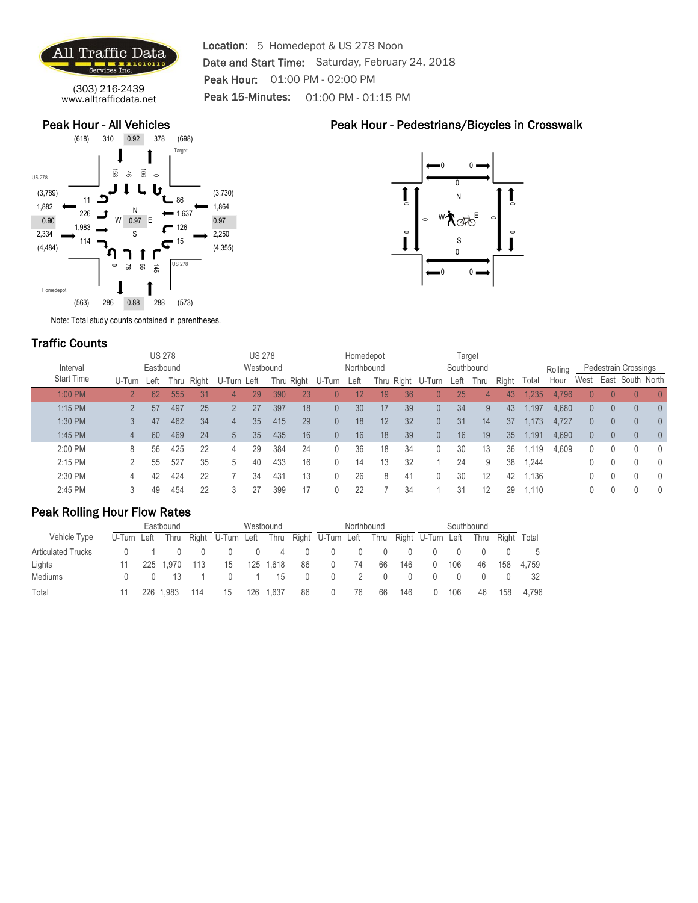

Location: 5 Homedepot & US 278 Noon Date and Start Time: Saturday, February 24, 2018 Peak Hour: 01:00 PM - 02:00 PM Peak 15-Minutes: 01:00 PM - 01:15 PM

(303) 216-2439 www.alltrafficdata.net

#### Peak Hour - All Vehicles



Note: Total study counts contained in parentheses.

### Traffic Counts

| Interval          |                | <b>US 278</b><br>Eastbound |      |       |                | <b>US 278</b><br>Westbound |     |            |                | Homedepot<br>Northbound |      |    |              | Target<br>Southbound |      |       |       | Rolling |                |                | Pedestrain Crossings |                |
|-------------------|----------------|----------------------------|------|-------|----------------|----------------------------|-----|------------|----------------|-------------------------|------|----|--------------|----------------------|------|-------|-------|---------|----------------|----------------|----------------------|----------------|
| <b>Start Time</b> | U-Turn         | Left                       | Thru | Right | U-Turn         | Left                       |     | Thru Right | U-Turn         | Left                    | Thru |    | Right U-Turn | Left                 | Thru | Right | Total | Hour    | West           | East           | South                | North          |
| 1:00 PM           | C              | 62                         | 555  | 31    | 4              | 29                         | 390 | 23         | $\mathbf{0}$   | 12                      | 19   | 36 | 0            | 25                   | 4    | 43    | 1,235 | 4.796   | $\overline{0}$ | $\overline{0}$ | $\overline{0}$       |                |
| $1:15$ PM         | $\overline{2}$ | 57                         | 497  | 25    | 2              | 27                         | 397 | 18         | 0              | 30                      | 17   | 39 | 0            | 34                   | 9    | 43    | .197  | 4,680   | $\overline{0}$ | 0              | $\Omega$             | $\overline{0}$ |
| 1:30 PM           |                | 47                         | 462  | 34    | 4              | 35                         | 415 | 29         | $\overline{0}$ | 18                      | 12   | 32 | 0            | 31                   | 14   | 37    | 1,173 | 4,727   | $\overline{0}$ | 0              | $\Omega$             | $\theta$       |
| 1:45 PM           | 4              | 60                         | 469  | 24    | 5 <sup>5</sup> | 35                         | 435 | 16         | $\overline{0}$ | 16                      | 18   | 39 | 0            | 16                   | 19   | 35    | 1,191 | 4,690   | $\overline{0}$ | $\overline{0}$ | $\Omega$             | $\theta$       |
| 2:00 PM           | 8              | 56                         | 425  | 22    | 4              | 29                         | 384 | 24         | 0              | 36                      | 18   | 34 | 0            | 30                   | 13   | 36    | 1.119 | 4,609   | 0              | 0              |                      | $\mathbf{0}$   |
| 2:15 PM           |                | 55                         | 527  | 35    | 5              | 40                         | 433 | 16         | 0              | 14                      | 13   | 32 |              | 24                   | 9    | 38    | 1,244 |         | 0              | 0              |                      | $\mathbf{0}$   |
| 2:30 PM           | 4              | 42                         | 424  | 22    |                | 34                         | 431 | 13         | 0              | 26                      | 8    | 41 | 0            | 30                   | 12   | 42    | 1,136 |         |                | 0              |                      | $\mathbf{0}$   |
| 2:45 PM           |                | 49                         | 454  | 22    |                | 27                         | 399 | 17         | 0              | 22                      |      | 34 |              | 31                   | 12   | 29    | 1.110 |         | 0              |                |                      |                |

### Peak Rolling Hour Flow Rates

|                           |             |     | Eastbound |     |                   |     | Westbound |    |                   |    | Northbound       |     |                   |     | Southbound |     |             |
|---------------------------|-------------|-----|-----------|-----|-------------------|-----|-----------|----|-------------------|----|------------------|-----|-------------------|-----|------------|-----|-------------|
| Vehicle Type              | U-Turn Left |     | Thru      |     | Right U-Turn Left |     | Thru      |    | Right U-Turn Left |    | Thru             |     | Right U-Turn Left |     | Thru       |     | Right Total |
| <b>Articulated Trucks</b> |             |     |           |     |                   |     | 4         |    |                   |    |                  |     |                   |     |            |     | 5           |
| Lights                    |             |     | 225 1.970 |     | 15                | 125 | 1.618     | 86 | 0                 | 74 | 66               | 146 | 0                 | 106 | 46         | 158 | 4.759       |
| Mediums                   |             |     |           |     |                   |     | 15        |    |                   |    | $\left( \right)$ |     |                   |     |            |     | 32          |
| Total                     |             | 226 | 1.983     | 114 | 15                | 126 | 1.637     | 86 | U                 | 76 | 66               | 146 |                   | 106 | 46         | 158 | 4.796       |

### Peak Hour - Pedestrians/Bicycles in Crosswalk

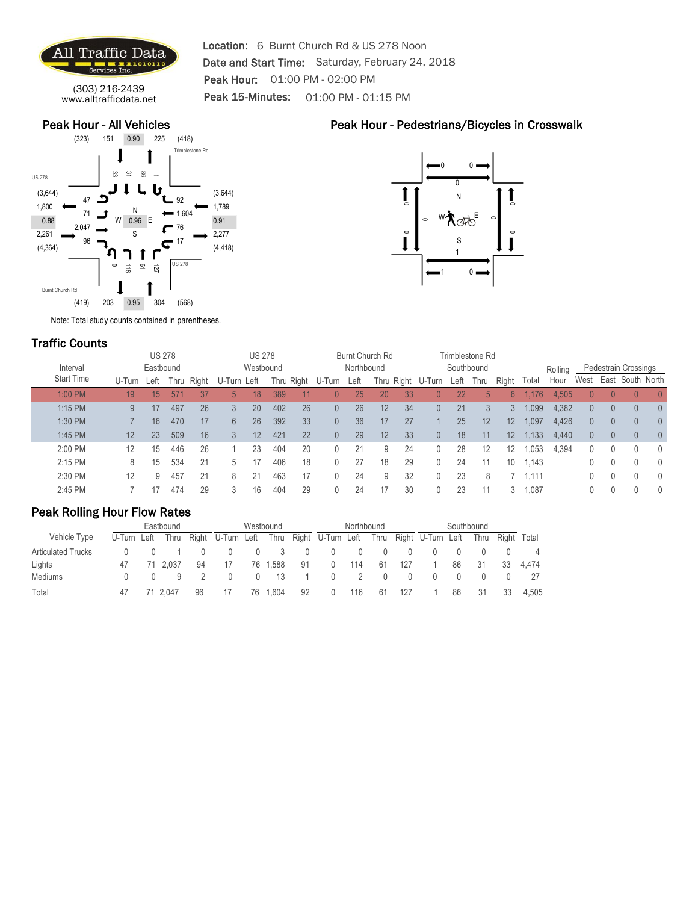

Location: 6 Burnt Church Rd & US 278 Noon Date and Start Time: Saturday, February 24, 2018 Peak Hour: 01:00 PM - 02:00 PM Peak 15-Minutes: 01:00 PM - 01:15 PM

(303) 216-2439 www.alltrafficdata.net

#### Peak Hour - All Vehicles



Peak Hour - Pedestrians/Bicycles in Crosswalk



Note: Total study counts contained in parentheses.

### Traffic Counts

|                   |        | <b>US 278</b> |             |       |             | <b>US 278</b> |     |            |                | Burnt Church Rd |    |    |                   |            | Trimblestone Rd |       |       |         |                |                |                      |                  |
|-------------------|--------|---------------|-------------|-------|-------------|---------------|-----|------------|----------------|-----------------|----|----|-------------------|------------|-----------------|-------|-------|---------|----------------|----------------|----------------------|------------------|
| Interval          |        | Eastbound     |             |       |             | Westbound     |     |            |                | Northbound      |    |    |                   | Southbound |                 |       |       | Rolling |                |                | Pedestrain Crossings |                  |
| <b>Start Time</b> | U-Turn | Left          | <b>Thru</b> | Right | U-Turn Left |               |     | Thru Right | U-Turn         | Left            |    |    | Thru Right U-Turn | Left       | Thru            | Right | Total | Hour    | West           |                |                      | East South North |
| 1:00 PM           | 19     | 15            | 571         | 37    | 5.          | 18            | 389 | 11         | 0              | 25              | 20 | 33 | 0                 | 22         | 5 <sub>1</sub>  | 6     | .176  | 4.505   | $\overline{0}$ | $\overline{0}$ | $\theta$             | $\theta$         |
| $1:15$ PM         | 9      | 17            | 497         | 26    | 3           | 20            | 402 | 26         | $\overline{0}$ | 26              | 12 | 34 | 0                 | 21         | 3               |       | 1,099 | 4,382   | $\mathbf{0}$   | 0              | $\Omega$             | $\theta$         |
| 1:30 PM           |        | 16            | 470         | 17    | 6           | 26            | 392 | 33         | $\overline{0}$ | 36              | 17 | 27 |                   | 25         | 12              | 12    | 1,097 | 4,426   | $\overline{0}$ | $\overline{0}$ | $\Omega$             | $\theta$         |
| 1:45 PM           | 12     | 23            | 509         | 16    | 3           | 12            | 421 | 22         | $\overline{0}$ | 29              | 12 | 33 | $\overline{0}$    | 18         | 11              | 12    | 1,133 | 4,440   | $\mathbf{0}$   | $\theta$       | $\overline{0}$       | $\theta$         |
| 2:00 PM           | 12     | 15            | 446         | 26    |             | 23            | 404 | 20         | 0              | 21              | 9  | 24 | 0                 | 28         | 12              | 12    | 1,053 | 4,394   | 0              | 0              |                      | $\mathbf{0}$     |
| 2:15 PM           | 8      | 15            | 534         | 21    | 5.          |               | 406 | 18         | 0.             | 27              | 18 | 29 | 0                 | 24         | 11              | 10    | 1,143 |         | 0              | 0              |                      | $\theta$         |
| 2:30 PM           | 12     | 9             | 457         | 21    | 8           | 21            | 463 | 17         | 0.             | 24              | 9  | 32 | 0                 | 23         | 8               |       | 1.111 |         |                | 0              |                      | $\mathbf{0}$     |
| 2:45 PM           |        |               | 474         | 29    |             | 16            | 404 | 29         | 0              | 24              |    | 30 |                   | 23         |                 | 3     | 1.087 |         | 0              |                |                      | $\mathbf{0}$     |

|                           |             | Eastbound |       |             |    | Westbound |    |                   |     | Northbound |     |                   |    | Southbound |       |       |
|---------------------------|-------------|-----------|-------|-------------|----|-----------|----|-------------------|-----|------------|-----|-------------------|----|------------|-------|-------|
| Vehicle Type              | U-Turn Left | Thru      | Right | U-Turn Left |    | Thru      |    | Right U-Turn Left |     | Thru       |     | Right U-Turn Left |    | Thru       | Riaht | Total |
| <b>Articulated Trucks</b> |             |           |       |             |    |           |    |                   |     |            |     |                   |    |            |       |       |
| Lights                    |             | 2.037     | 94    |             | 76 | .588      | 91 |                   | 114 | 61         | 127 |                   | 86 | 31         | 33    | 4.474 |
| <b>Mediums</b>            |             |           |       |             |    |           |    |                   |     |            |     |                   |    |            |       |       |
| Total                     |             | 2.047     | 96    |             | 76 | 1.604     | 92 | U                 | 116 | 61         | 127 |                   | 86 | 31         | 33    | 4.505 |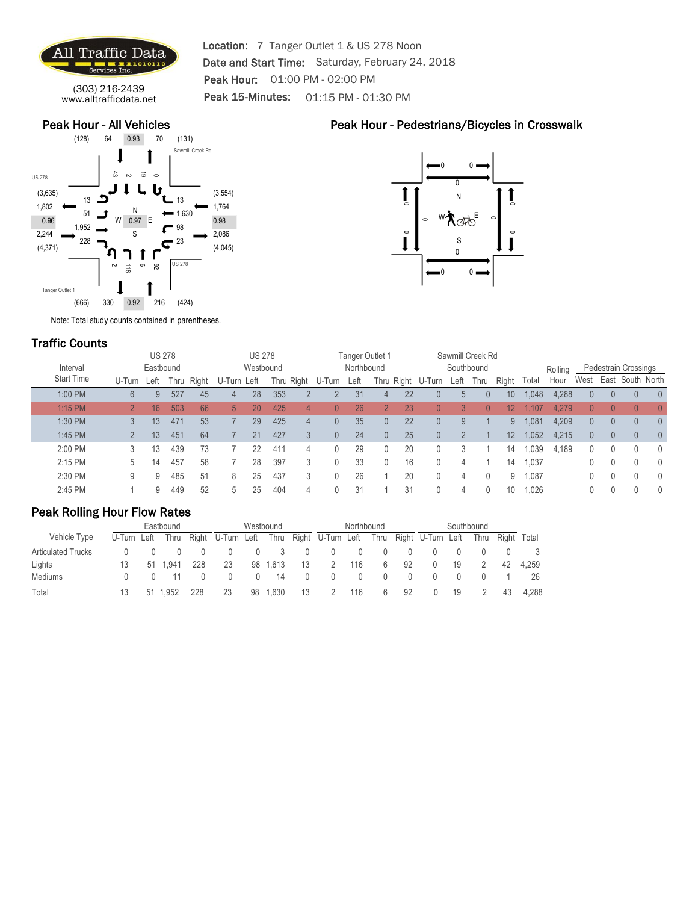

Location: 7 Tanger Outlet 1 & US 278 Noon Date and Start Time: Saturday, February 24, 2018 Peak Hour: 01:00 PM - 02:00 PM Peak 15-Minutes: 01:15 PM - 01:30 PM

(303) 216-2439 www.alltrafficdata.net

#### Peak Hour - All Vehicles



Peak Hour - Pedestrians/Bicycles in Crosswalk



Note: Total study counts contained in parentheses.

### Traffic Counts

|                   |        | <b>US 278</b>   |      |       |             | <b>US 278</b> |     |                |                | Tanger Outlet 1 |                |            |        |            | Sawmill Creek Rd |       |       |         |                |                |                             |                                  |
|-------------------|--------|-----------------|------|-------|-------------|---------------|-----|----------------|----------------|-----------------|----------------|------------|--------|------------|------------------|-------|-------|---------|----------------|----------------|-----------------------------|----------------------------------|
| Interval          |        | Eastbound       |      |       |             | Westbound     |     |                |                | Northbound      |                |            |        | Southbound |                  |       |       | Rolling |                |                | <b>Pedestrain Crossings</b> |                                  |
| <b>Start Time</b> | U-Turn | Left            | Thru | Right | U-Turn Left |               |     | Thru Right     | U-Turn         | Left            |                | Thru Right | U-Turn | Left       | Thru             | Right | Total | Hour    | West           | East           | South North                 |                                  |
| 1:00 PM           | 6      | 9               | 527  | 45    | 4           | 28            | 353 |                |                | 31              | 4              | 22         | 0      | 5          | $\overline{0}$   | 10    | .048  | 4.288   | $\overline{0}$ | $\overline{0}$ | $\mathbf{0}$                | $\overline{0}$                   |
| $1:15$ PM         | $2^+$  | 16              | 503  | 66    | 5           | 20            | 425 | $\overline{4}$ | $\mathbf{0}$   | 26              | 2              | 23         | 0      |            | $\overline{0}$   | 12    | 1.107 | 4.279   | $\mathbf{0}$   | $\theta$       | $\Omega$                    | $\theta$                         |
| 1:30 PM           |        | 13              | 471  | 53    |             | 29            | 425 | $\overline{4}$ | $\mathbf{0}$   | 35              | $\overline{0}$ | 22         | 0      | 9          |                  | 9     | .081  | 4,209   | $\overline{0}$ | $\overline{0}$ | $\theta$                    | $\overline{0}$                   |
| 1:45 PM           |        | 13 <sup>°</sup> | 451  | 64    |             | 21            | 427 | $\mathbf{3}$   | $\overline{0}$ | 24              | $\overline{0}$ | 25         | 0      |            |                  | 12    | .052  | 4,215   | $\overline{0}$ | 0              | $\theta$                    | $\Omega$                         |
| 2:00 PM           |        | 13              | 439  | 73    |             | 22            | 411 | 4              | 0              | 29              | 0              | 20         | 0      |            |                  | 14    | .039  | 4.189   | 0              | 0              | 0                           | $\mathbf{0}$                     |
| 2:15 PM           | b.     | 14              | 457  | 58    |             | 28            | 397 | 3              | 0              | 33              | 0              | 16         | 0      | 4          |                  | 14    | 1,037 |         | 0              | 0              | $\mathbf{0}$                | $\mathbf{0}$                     |
| 2:30 PM           | 9      | 9               | 485  | 51    | 8           | 25            | 437 |                | 0              | 26              |                | 20         | 0      | 4          | $\mathbf{0}$     | 9     | .087  |         | 0              | 0              |                             | $\begin{array}{c} \n\end{array}$ |
| 2:45 PM           |        | 9               | 449  | 52    | 5           | 25            | 404 | 4              |                | 3 <sup>1</sup>  |                | 31         |        | 4          |                  | 10    | 1.026 |         | 0              |                |                             | $\Omega$                         |

|                           |             |              | Eastbound |       |             |    | Westbound   |       |             |     | Northbound |    |                   |    | Southbound |       |       |
|---------------------------|-------------|--------------|-----------|-------|-------------|----|-------------|-------|-------------|-----|------------|----|-------------------|----|------------|-------|-------|
| Vehicle Type              | U-Turn Left |              | Thru      | Right | U-Turn Left |    | <b>Thru</b> | Right | U-Turn Left |     | Thru       |    | Right U-Turn Left |    | Thru       | Right | Total |
| <b>Articulated Trucks</b> |             |              |           |       |             |    |             |       |             |     |            |    |                   |    |            |       |       |
| ∟iqhts                    |             | $51 \quad 1$ | .941      | 228   | 23          | 98 | 1.613       | 13    |             | 116 | 6          | 92 |                   | 19 |            | 42    | 4.259 |
| Mediums                   |             |              |           |       |             |    | 14          |       |             |     |            |    |                   |    |            |       | 26    |
| Total                     |             | 51           | .952      | 228   | 23          | 98 | .630        | 13    |             | 116 | b          | 92 |                   | 19 |            | 43    | 4.288 |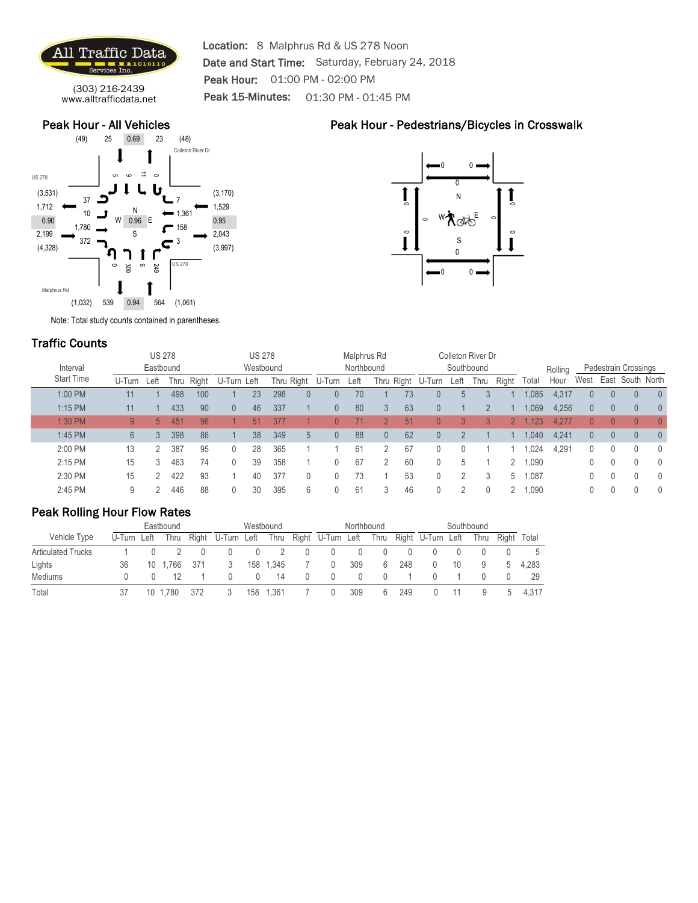

Location: 8 Malphrus Rd & US 278 Noon Date and Start Time: Saturday, February 24, 2018 Peak Hour: 01:00 PM - 02:00 PM Peak 15-Minutes: 01:30 PM - 01:45 PM

(303) 216-2439 www.alltrafficdata.net

#### Peak Hour - All Vehicles



Note: Total study counts contained in parentheses.

### Traffic Counts

| iiuiiv vvuitu     |        |      |     |                            |                |    |                |                            |                |                |                |                           |   |                   |                |            |                        |       |                |          |          |                               |
|-------------------|--------|------|-----|----------------------------|----------------|----|----------------|----------------------------|----------------|----------------|----------------|---------------------------|---|-------------------|----------------|------------|------------------------|-------|----------------|----------|----------|-------------------------------|
|                   |        |      |     |                            |                |    |                |                            |                |                |                |                           |   |                   |                |            |                        |       |                |          |          |                               |
| Interval          |        |      |     |                            |                |    |                |                            |                |                |                |                           |   |                   |                |            |                        |       |                |          |          |                               |
| <b>Start Time</b> | U-Turn | Left |     | Right                      |                |    |                |                            | U-Turn         | Left           |                |                           |   | Left              | Thru           | Right      | Total                  | Hour  | West           | East     |          | North                         |
| 1:00 PM           |        |      | 498 | 100                        |                | 23 | 298            | $\mathbf{0}$               | 0              | 70             |                | 73                        | 0 |                   |                |            | .085                   | 4,317 | $\overline{0}$ | $\theta$ | $\Omega$ | $\theta$                      |
| $1:15$ PM         | 11     |      | 433 | 90                         | $\overline{0}$ | 46 | 337            |                            | $\overline{0}$ | 80             |                | 63                        | 0 |                   | $\overline{2}$ |            | 069                    | 4,256 | 0              | 0        | $\Omega$ | $\theta$                      |
| 1:30 PM           | 9      | 5    | 451 | 96                         |                | 51 | 377            |                            | $\Omega$       | 71             |                | 51                        | 0 |                   |                |            | 1.123                  | 4.277 | $\overline{0}$ | $\Omega$ | $\Omega$ | $\Omega$                      |
| 1:45 PM           | 6      | 3    | 398 | 86                         |                | 38 | 349            |                            | 0              | 88             | $\overline{0}$ | 62                        | 0 |                   |                |            | 1,040                  | 4,241 | 0              | 0        | $\Omega$ | $\theta$                      |
| 2:00 PM           | 13     |      | 387 | 95                         | 0              | 28 | 365            |                            |                | 61             |                | 67                        | 0 |                   |                |            | ,024                   | 4,291 | 0              | 0        |          | 0                             |
| 2:15 PM           | 15     |      | 463 | 74                         | 0              | 39 | 358            |                            | 0              | 67             |                | 60                        | 0 | .h                |                |            | 1,090                  |       | 0              |          |          | $\mathbf{0}$                  |
| 2:30 PM           | 15     | C.   | 422 | 93                         |                | 40 | 377            | $\mathbf{0}$               |                | 73             |                | 53                        |   |                   |                |            | 1,087                  |       | 0              |          |          | $\mathbf{0}$                  |
| 2:45 PM           | 9      |      | 446 | 88                         | 0              | 30 | 395            | 6                          |                | 6 <sup>1</sup> |                | 46                        |   |                   |                |            | 1.090                  |       | 0              |          |          | $\overline{0}$                |
|                   |        |      |     | <b>US 278</b><br>Eastbound | [hru           |    | U-Turn<br>Left | <b>US 278</b><br>Westbound | Thru Right     | 5 <sub>5</sub> |                | Malphrus Rd<br>Northbound |   | Thru Right U-Turn | 5              | Southbound | Colleton River Dr<br>0 | 5     | Rolling        |          |          | Pedestrain Crossings<br>South |

#### Peak Rolling Hour Flow Rates

|                           |             |    | Eastbound |       |             |     | Westbound |                   | Northbound |      |     |                   |    | Southbound |       |       |
|---------------------------|-------------|----|-----------|-------|-------------|-----|-----------|-------------------|------------|------|-----|-------------------|----|------------|-------|-------|
| Vehicle Type              | U-Turn Left |    | Thru      | Right | U-Turn Left |     | Thru      | Right U-Turn Left |            | Thru |     | Right U-Turn Left |    | Thru       | Riaht | Total |
| <b>Articulated Trucks</b> |             |    |           |       |             |     |           |                   |            |      |     |                   |    |            |       | 5     |
| Lights                    | 36          |    | 10 1.766  | 371   |             | 158 | 1.345     | 0                 | 309        | 6    | 248 |                   | 10 |            | 5     | 4,283 |
| <b>Mediums</b>            |             |    |           |       |             |     | 14        |                   |            |      |     |                   |    |            |       | 29    |
| Total                     |             | 10 | .780      | 372   |             | 158 | 1.361     | U                 | 309        | b    | 249 |                   |    | 9          | b.    | 4.317 |

### Peak Hour - Pedestrians/Bicycles in Crosswalk

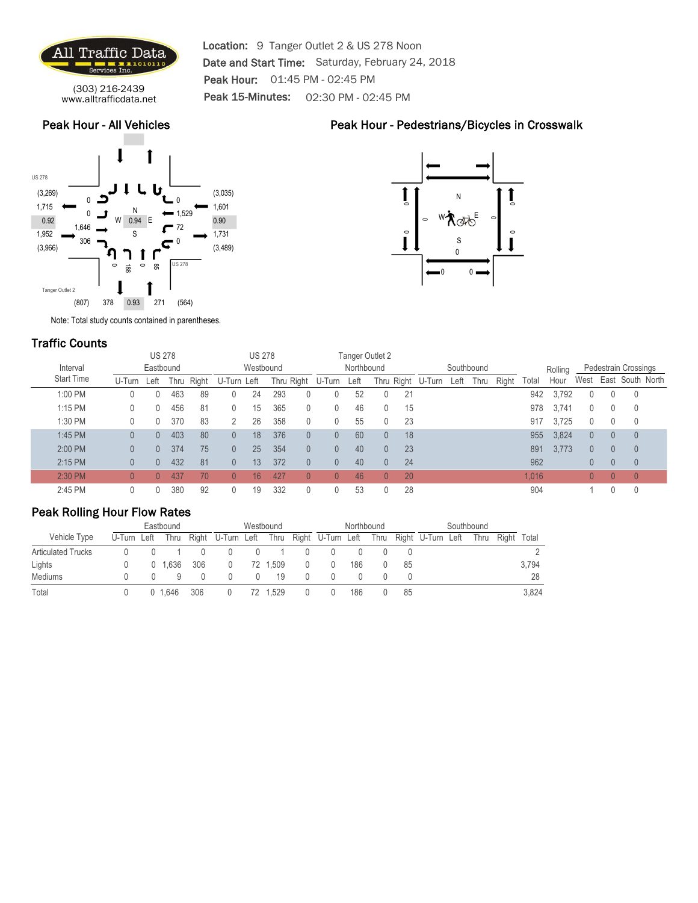

(303) 216-2439 www.alltrafficdata.net

#### Peak Hour - All Vehicles



0

 $\bullet$  0 0

S **WA**®

N

c

0 0

 $\circ$  $\tilde{I}$   $\mathbf C$ 

 $\epsilon$ 

 $\epsilon$ 



Note: Total study counts contained in parentheses.

### Traffic Counts

| Interval          |          | <b>US 278</b><br>Eastbound<br>Right<br>Left<br>Thru |     |    |             | <b>US 278</b><br>Westbound |     |              |        | Tanger Outlet 2<br>Northbound |                |    |                   | Southbound |      |       |       | Rolling |                |              | <b>Pedestrain Crossings</b> |  |
|-------------------|----------|-----------------------------------------------------|-----|----|-------------|----------------------------|-----|--------------|--------|-------------------------------|----------------|----|-------------------|------------|------|-------|-------|---------|----------------|--------------|-----------------------------|--|
| <b>Start Time</b> | U-Turn   |                                                     |     |    | U-Turn Left |                            |     | Thru Right   | U-Turn | Left                          |                |    | Thru Right U-Turn | Left       | Thru | Right | Total | Hour    | West           | East         | South North                 |  |
| 1:00 PM           |          |                                                     | 463 | 89 | 0           | 24                         | 293 | $\mathbf{0}$ |        | 52                            | 0              | 21 |                   |            |      |       | 942   | 3,792   | $\mathbf{0}$   | $\mathbf{0}$ |                             |  |
| 1:15 PM           |          |                                                     | 456 | 81 | 0           | 15                         | 365 | $\mathbf{0}$ |        | 46                            | 0              | 15 |                   |            |      |       | 978   | 3.741   | 0              | $\theta$     |                             |  |
| 1:30 PM           |          |                                                     | 370 | 83 | 2           | 26                         | 358 | $\mathbf{0}$ |        | 55                            | 0              | 23 |                   |            |      |       | 917   | 3.725   | 0              | 0            |                             |  |
| 1:45 PM           |          |                                                     | 403 | 80 | 0           | 18                         | 376 | $\mathbf{0}$ | 0      | 60                            | $\overline{0}$ | 18 |                   |            |      |       | 955   | 3,824   | $\overline{0}$ | $\theta$     | $\overline{0}$              |  |
| 2:00 PM           |          | $\Omega$                                            | 374 | 75 | 0           | 25                         | 354 | $\theta$     | 0      | 40                            | $\overline{0}$ | 23 |                   |            |      |       | 891   | 3.773   | $\Omega$       | $\theta$     | $\overline{0}$              |  |
| 2:15 PM           |          |                                                     | 432 | 81 | 0           | 13                         | 372 | $\mathbf{0}$ | 0      | 40                            | $\Omega$       | 24 |                   |            |      |       | 962   |         | $\overline{0}$ | $\theta$     | $\Omega$                    |  |
| 2:30 PM           | $\Omega$ | $\Omega$                                            | 437 | 70 | $\Omega$    | 16                         | 427 |              | 0      | 46                            | $\Omega$       | 20 |                   |            |      |       | 1.016 |         | 0              | $\Omega$     | $\theta$                    |  |
| 2:45 PM           |          |                                                     | 380 | 92 | N           | 19                         | 332 |              |        | 53                            |                | 28 |                   |            |      |       | 904   |         |                |              |                             |  |

Location: 9 Tanger Outlet 2 & US 278 Noon

Peak 15-Minutes: 02:30 PM - 02:45 PM

Peak Hour: 01:45 PM - 02:45 PM

Date and Start Time: Saturday, February 24, 2018

|                           |             | Eastbound   |     |                   |    | Westbound |                   |     | Northbound |    |                   | Southbound |       |       |
|---------------------------|-------------|-------------|-----|-------------------|----|-----------|-------------------|-----|------------|----|-------------------|------------|-------|-------|
| Vehicle Type              | U-Turn Left | Thru        |     | Right U-Turn Left |    | Thru      | Right U-Turn Left |     | Thru       |    | Right U-Turn Left | Thru       | Riaht | Total |
| <b>Articulated Trucks</b> |             |             |     |                   |    |           |                   |     |            |    |                   |            |       |       |
| Lights                    |             | $0 \t1.636$ | 306 |                   | 72 | .509      |                   | 186 |            | 85 |                   |            |       | 3.794 |
| Mediums                   |             |             |     |                   |    | 19        |                   |     |            |    |                   |            |       | 28    |
| Total                     |             | .646        | 306 |                   | 72 | .529      |                   | 186 |            | 85 |                   |            |       | 3.824 |